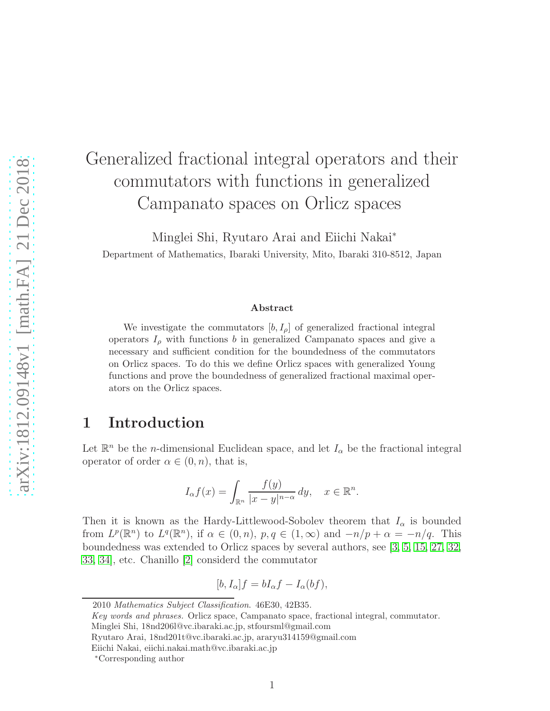# Generalized fractional integral operators and their commutators with functions in generalized Campanato spaces on Orlicz spaces

Minglei Shi, Ryutaro Arai and Eiichi Nakai<sup>∗</sup> Department of Mathematics, Ibaraki University, Mito, Ibaraki 310-8512, Japan

#### Abstract

We investigate the commutators  $[b, I_{\rho}]$  of generalized fractional integral operators  $I_{\rho}$  with functions b in generalized Campanato spaces and give a necessary and sufficient condition for the boundedness of the commutators on Orlicz spaces. To do this we define Orlicz spaces with generalized Young functions and prove the boundedness of generalized fractional maximal operators on the Orlicz spaces.

#### 1 Introduction

Let  $\mathbb{R}^n$  be the *n*-dimensional Euclidean space, and let  $I_\alpha$  be the fractional integral operator of order  $\alpha \in (0, n)$ , that is,

$$
I_{\alpha}f(x) = \int_{\mathbb{R}^n} \frac{f(y)}{|x - y|^{n - \alpha}} dy, \quad x \in \mathbb{R}^n.
$$

Then it is known as the Hardy-Littlewood-Sobolev theorem that  $I_{\alpha}$  is bounded from  $L^p(\mathbb{R}^n)$  to  $L^q(\mathbb{R}^n)$ , if  $\alpha \in (0, n)$ ,  $p, q \in (1, \infty)$  and  $-n/p + \alpha = -n/q$ . This boundedness was extended to Orlicz spaces by several authors, see [\[3,](#page-24-0) [5,](#page-24-1) [15,](#page-25-0) [27,](#page-25-1) [32,](#page-26-0) [33,](#page-26-1) [34\]](#page-26-2), etc. Chanillo [\[2\]](#page-24-2) considerd the commutator

$$
[b, I_{\alpha}]f = bI_{\alpha}f - I_{\alpha}(bf),
$$

2010 Mathematics Subject Classification. 46E30, 42B35.

Key words and phrases. Orlicz space, Campanato space, fractional integral, commutator.

Minglei Shi, 18nd206l@vc.ibaraki.ac.jp, stfoursml@gmail.com

Ryutaro Arai, 18nd201t@vc.ibaraki.ac.jp, araryu314159@gmail.com

Eiichi Nakai, eiichi.nakai.math@vc.ibaraki.ac.jp

<sup>∗</sup>Corresponding author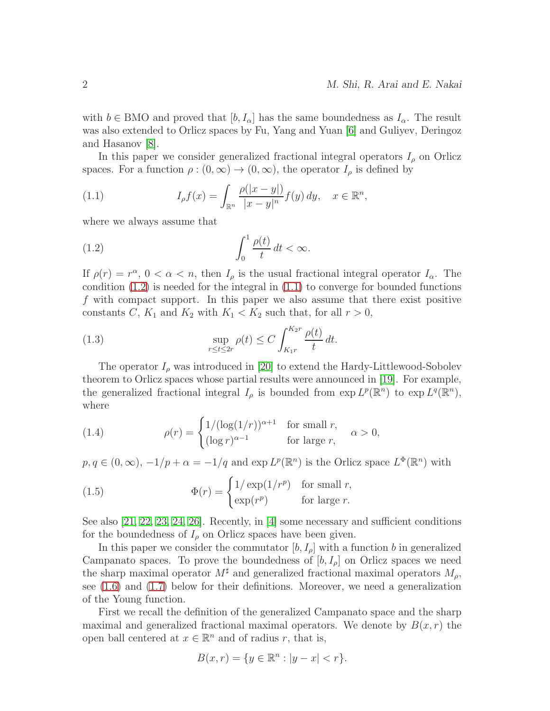with  $b \in BMO$  and proved that  $[b, I_{\alpha}]$  has the same boundedness as  $I_{\alpha}$ . The result was also extended to Orlicz spaces by Fu, Yang and Yuan [\[6\]](#page-24-3) and Guliyev, Deringoz and Hasanov [\[8\]](#page-24-4).

In this paper we consider generalized fractional integral operators  $I_{\rho}$  on Orlicz spaces. For a function  $\rho : (0, \infty) \to (0, \infty)$ , the operator  $I_\rho$  is defined by

<span id="page-1-1"></span>(1.1) 
$$
I_{\rho}f(x) = \int_{\mathbb{R}^n} \frac{\rho(|x-y|)}{|x-y|^n} f(y) \, dy, \quad x \in \mathbb{R}^n,
$$

where we always assume that

<span id="page-1-0"></span>(1.2) 
$$
\int_0^1 \frac{\rho(t)}{t} dt < \infty.
$$

If  $\rho(r) = r^{\alpha}, 0 < \alpha < n$ , then  $I_{\rho}$  is the usual fractional integral operator  $I_{\alpha}$ . The condition  $(1.2)$  is needed for the integral in  $(1.1)$  to converge for bounded functions f with compact support. In this paper we also assume that there exist positive constants C,  $K_1$  and  $K_2$  with  $K_1 < K_2$  such that, for all  $r > 0$ ,

<span id="page-1-2"></span>(1.3) 
$$
\sup_{r \le t \le 2r} \rho(t) \le C \int_{K_1 r}^{K_2 r} \frac{\rho(t)}{t} dt.
$$

The operator  $I_{\rho}$  was introduced in [\[20\]](#page-25-2) to extend the Hardy-Littlewood-Sobolev theorem to Orlicz spaces whose partial results were announced in [\[19\]](#page-25-3). For example, the generalized fractional integral  $I_\rho$  is bounded from  $\exp L^p(\mathbb{R}^n)$  to  $\exp L^q(\mathbb{R}^n)$ , where

<span id="page-1-3"></span>(1.4) 
$$
\rho(r) = \begin{cases} 1/(\log(1/r))^{\alpha+1} & \text{for small } r, \\ (\log r)^{\alpha-1} & \text{for large } r, \end{cases} \alpha > 0,
$$

 $p, q \in (0, \infty), -1/p + \alpha = -1/q$  and  $\exp L^p(\mathbb{R}^n)$  is the Orlicz space  $L^{\Phi}(\mathbb{R}^n)$  with

<span id="page-1-4"></span>(1.5) 
$$
\Phi(r) = \begin{cases} 1/\exp(1/r^p) & \text{for small } r, \\ \exp(r^p) & \text{for large } r. \end{cases}
$$

See also [\[21,](#page-25-4) [22,](#page-25-5) [23,](#page-25-6) [24,](#page-25-7) [26\]](#page-25-8). Recently, in [\[4\]](#page-24-5) some necessary and sufficient conditions for the boundedness of  $I_\rho$  on Orlicz spaces have been given.

In this paper we consider the commutator  $[b, I_{\rho}]$  with a function b in generalized Campanato spaces. To prove the boundedness of  $[b, I_{\rho}]$  on Orlicz spaces we need the sharp maximal operator  $M^{\sharp}$  and generalized fractional maximal operators  $M_{\rho}$ , see [\(1.6\)](#page-2-0) and [\(1.7\)](#page-2-1) below for their definitions. Moreover, we need a generalization of the Young function.

First we recall the definition of the generalized Campanato space and the sharp maximal and generalized fractional maximal operators. We denote by  $B(x, r)$  the open ball centered at  $x \in \mathbb{R}^n$  and of radius r, that is,

$$
B(x,r) = \{ y \in \mathbb{R}^n : |y - x| < r \}.
$$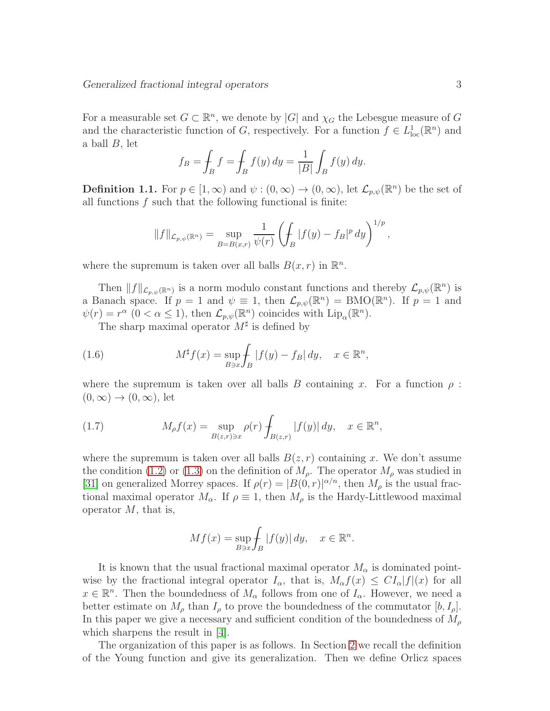For a measurable set  $G \subset \mathbb{R}^n$ , we denote by  $|G|$  and  $\chi_G$  the Lebesgue measure of G and the characteristic function of G, respectively. For a function  $f \in L^1_{loc}(\mathbb{R}^n)$  and a ball B, let

$$
f_B = \int_B f = \int_B f(y) dy = \frac{1}{|B|} \int_B f(y) dy.
$$

**Definition 1.1.** For  $p \in [1, \infty)$  and  $\psi : (0, \infty) \to (0, \infty)$ , let  $\mathcal{L}_{p,\psi}(\mathbb{R}^n)$  be the set of all functions  $f$  such that the following functional is finite:

$$
||f||_{\mathcal{L}_{p,\psi}(\mathbb{R}^n)} = \sup_{B=B(x,r)} \frac{1}{\psi(r)} \left( \int_B |f(y) - f_B|^p dy \right)^{1/p},
$$

where the supremum is taken over all balls  $B(x, r)$  in  $\mathbb{R}^n$ .

Then  $||f||_{\mathcal{L}_{p,\psi}(\mathbb{R}^n)}$  is a norm modulo constant functions and thereby  $\mathcal{L}_{p,\psi}(\mathbb{R}^n)$  is a Banach space. If  $p = 1$  and  $\psi \equiv 1$ , then  $\mathcal{L}_{p,\psi}(\mathbb{R}^n) = \text{BMO}(\mathbb{R}^n)$ . If  $p = 1$  and  $\psi(r) = r^{\alpha} \ (0 < \alpha \leq 1), \text{ then } \mathcal{L}_{p,\psi}(\mathbb{R}^n) \text{ coincides with } \text{Lip}_{\alpha}(\mathbb{R}^n).$ 

<span id="page-2-0"></span>The sharp maximal operator  $M^{\sharp}$  is defined by

(1.6) 
$$
M^{\sharp}f(x) = \sup_{B \ni x} \int_{B} |f(y) - f_{B}| dy, \quad x \in \mathbb{R}^{n},
$$

where the supremum is taken over all balls B containing x. For a function  $\rho$ :  $(0, \infty) \rightarrow (0, \infty)$ , let

<span id="page-2-1"></span>(1.7) 
$$
M_{\rho}f(x) = \sup_{B(z,r)\ni x} \rho(r) \int_{B(z,r)} |f(y)| dy, \quad x \in \mathbb{R}^n,
$$

where the supremum is taken over all balls  $B(z, r)$  containing x. We don't assume the condition [\(1.2\)](#page-1-0) or [\(1.3\)](#page-1-2) on the definition of  $M<sub>\rho</sub>$ . The operator  $M<sub>\rho</sub>$  was studied in [\[31\]](#page-26-3) on generalized Morrey spaces. If  $\rho(r) = |B(0, r)|^{\alpha/n}$ , then  $M_\rho$  is the usual fractional maximal operator  $M_{\alpha}$ . If  $\rho \equiv 1$ , then  $M_{\rho}$  is the Hardy-Littlewood maximal operator  $M$ , that is,

$$
Mf(x) = \sup_{B \ni x} \int_B |f(y)| dy, \quad x \in \mathbb{R}^n.
$$

It is known that the usual fractional maximal operator  $M_{\alpha}$  is dominated pointwise by the fractional integral operator  $I_{\alpha}$ , that is,  $M_{\alpha} f(x) \leq C I_{\alpha} |f|(x)$  for all  $x \in \mathbb{R}^n$ . Then the boundedness of  $M_\alpha$  follows from one of  $I_\alpha$ . However, we need a better estimate on  $M_{\rho}$  than  $I_{\rho}$  to prove the boundedness of the commutator  $[b, I_{\rho}]$ . In this paper we give a necessary and sufficient condition of the boundedness of  $M_{\rho}$ which sharpens the result in [\[4\]](#page-24-5).

The organization of this paper is as follows. In Section [2](#page-3-0) we recall the definition of the Young function and give its generalization. Then we define Orlicz spaces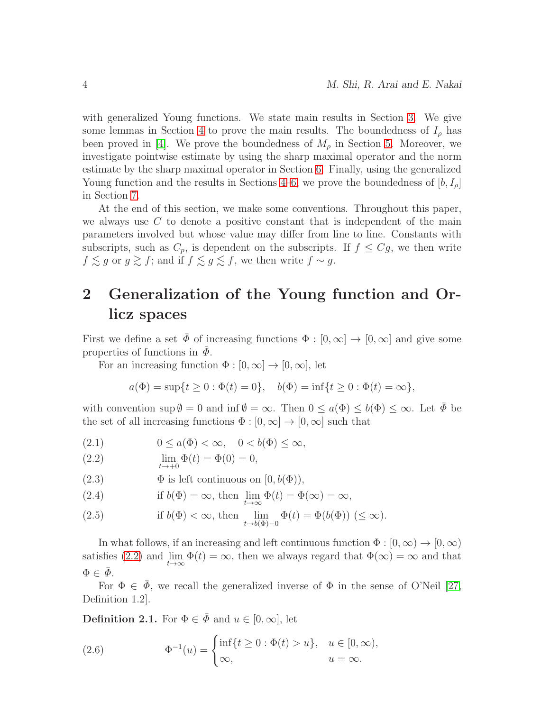with generalized Young functions. We state main results in Section [3.](#page-7-0) We give some lemmas in Section [4](#page-13-0) to prove the main results. The boundedness of  $I_\rho$  has been proved in [\[4\]](#page-24-5). We prove the boundedness of  $M_\rho$  in Section [5.](#page-15-0) Moreover, we investigate pointwise estimate by using the sharp maximal operator and the norm estimate by the sharp maximal operator in Section [6.](#page-16-0) Finally, using the generalized Young function and the results in Sections [4](#page-13-0)[–6,](#page-16-0) we prove the boundedness of  $[b, I_{\rho}]$ in Section [7.](#page-21-0)

At the end of this section, we make some conventions. Throughout this paper, we always use  $C$  to denote a positive constant that is independent of the main parameters involved but whose value may differ from line to line. Constants with subscripts, such as  $C_p$ , is dependent on the subscripts. If  $f \leq Cg$ , we then write  $f \lesssim g$  or  $g \gtrsim f$ ; and if  $f \lesssim g \lesssim f$ , we then write  $f \sim g$ .

# <span id="page-3-0"></span>2 Generalization of the Young function and Orlicz spaces

First we define a set  $\bar{\Phi}$  of increasing functions  $\Phi : [0, \infty] \to [0, \infty]$  and give some properties of functions in  $\Phi$ .

For an increasing function  $\Phi : [0, \infty] \to [0, \infty]$ , let

$$
a(\Phi) = \sup\{t \ge 0 : \Phi(t) = 0\}, \quad b(\Phi) = \inf\{t \ge 0 : \Phi(t) = \infty\},\
$$

with convention  $\sup \emptyset = 0$  and  $\inf \emptyset = \infty$ . Then  $0 \le a(\Phi) \le b(\Phi) \le \infty$ . Let  $\Phi$  be the set of all increasing functions  $\Phi : [0, \infty] \to [0, \infty]$  such that

$$
(2.1) \t 0 \le a(\Phi) < \infty, \quad 0 < b(\Phi) \le \infty,
$$

<span id="page-3-1"></span>(2.2) 
$$
\lim_{t \to +0} \Phi(t) = \Phi(0) = 0,
$$

<span id="page-3-2"></span>(2.3) 
$$
\Phi \text{ is left continuous on } [0, b(\Phi)),
$$

(2.4) if 
$$
b(\Phi) = \infty
$$
, then  $\lim_{t \to \infty} \Phi(t) = \Phi(\infty) = \infty$ ,

<span id="page-3-3"></span>(2.5) if 
$$
b(\Phi) < \infty
$$
, then  $\lim_{t \to b(\Phi) - 0} \Phi(t) = \Phi(b(\Phi)) \le \infty$ ).

In what follows, if an increasing and left continuous function  $\Phi : [0, \infty) \to [0, \infty)$ satisfies [\(2.2\)](#page-3-1) and  $\lim_{t\to\infty} \Phi(t) = \infty$ , then we always regard that  $\Phi(\infty) = \infty$  and that  $\Phi \in \bar{\phi}$ .

For  $\Phi \in \Phi$ , we recall the generalized inverse of  $\Phi$  in the sense of O'Neil [\[27,](#page-25-1) Definition 1.2].

**Definition 2.1.** For  $\Phi \in \bar{\Phi}$  and  $u \in [0, \infty]$ , let

(2.6) 
$$
\Phi^{-1}(u) = \begin{cases} \inf\{t \ge 0 : \Phi(t) > u\}, & u \in [0, \infty), \\ \infty, & u = \infty. \end{cases}
$$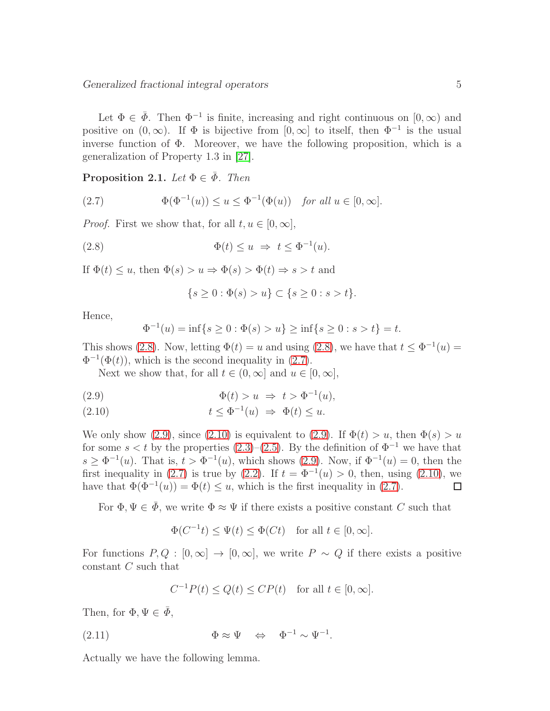Let  $\Phi \in \bar{\Phi}$ . Then  $\Phi^{-1}$  is finite, increasing and right continuous on  $[0,\infty)$  and positive on  $(0, \infty)$ . If  $\Phi$  is bijective from  $[0, \infty]$  to itself, then  $\Phi^{-1}$  is the usual inverse function of  $\Phi$ . Moreover, we have the following proposition, which is a generalization of Property 1.3 in [\[27\]](#page-25-1).

<span id="page-4-4"></span>**Proposition 2.1.** Let  $\Phi \in \bar{\Phi}$ . Then

<span id="page-4-1"></span>(2.7) 
$$
\Phi(\Phi^{-1}(u)) \le u \le \Phi^{-1}(\Phi(u)) \text{ for all } u \in [0, \infty].
$$

*Proof.* First we show that, for all  $t, u \in [0, \infty]$ ,

(2.8) 
$$
\Phi(t) \le u \Rightarrow t \le \Phi^{-1}(u).
$$

If  $\Phi(t) \leq u$ , then  $\Phi(s) > u \Rightarrow \Phi(s) > \Phi(t) \Rightarrow s > t$  and

<span id="page-4-0"></span>
$$
\{s \ge 0 : \Phi(s) > u\} \subset \{s \ge 0 : s > t\}.
$$

Hence,

$$
\Phi^{-1}(u) = \inf\{s \ge 0 : \Phi(s) > u\} \ge \inf\{s \ge 0 : s > t\} = t.
$$

This shows [\(2.8\)](#page-4-0). Now, letting  $\Phi(t) = u$  and using (2.8), we have that  $t \leq \Phi^{-1}(u) =$  $\Phi^{-1}(\Phi(t))$ , which is the second inequality in [\(2.7\)](#page-4-1).

Next we show that, for all  $t \in (0, \infty]$  and  $u \in [0, \infty]$ ,

<span id="page-4-2"></span>(2.9) 
$$
\Phi(t) > u \Rightarrow t > \Phi^{-1}(u),
$$

<span id="page-4-3"></span>(2.10) 
$$
t \leq \Phi^{-1}(u) \Rightarrow \Phi(t) \leq u.
$$

We only show [\(2.9\)](#page-4-2), since [\(2.10\)](#page-4-3) is equivalent to (2.9). If  $\Phi(t) > u$ , then  $\Phi(s) > u$ for some  $s < t$  by the properties [\(2.3\)](#page-3-2)–[\(2.5\)](#page-3-3). By the definition of  $\Phi^{-1}$  we have that  $s \geq \Phi^{-1}(u)$ . That is,  $t > \Phi^{-1}(u)$ , which shows [\(2.9\)](#page-4-2). Now, if  $\Phi^{-1}(u) = 0$ , then the first inequality in [\(2.7\)](#page-4-1) is true by [\(2.2\)](#page-3-1). If  $t = \Phi^{-1}(u) > 0$ , then, using [\(2.10\)](#page-4-3), we have that  $\Phi(\Phi^{-1}(u)) = \Phi(t) \leq u$ , which is the first inequality in [\(2.7\)](#page-4-1).  $\Box$ 

For  $\Phi, \Psi \in \bar{\Phi}$ , we write  $\Phi \approx \Psi$  if there exists a positive constant C such that

$$
\Phi(C^{-1}t) \le \Psi(t) \le \Phi(Ct) \quad \text{for all } t \in [0, \infty].
$$

For functions  $P, Q : [0, \infty] \to [0, \infty]$ , we write  $P \sim Q$  if there exists a positive constant C such that

<span id="page-4-5"></span>
$$
C^{-1}P(t) \le Q(t) \le CP(t) \quad \text{for all } t \in [0, \infty].
$$

Then, for  $\Phi, \Psi \in \bar{\Phi}$ ,

(2.11) 
$$
\Phi \approx \Psi \quad \Leftrightarrow \quad \Phi^{-1} \sim \Psi^{-1}.
$$

Actually we have the following lemma.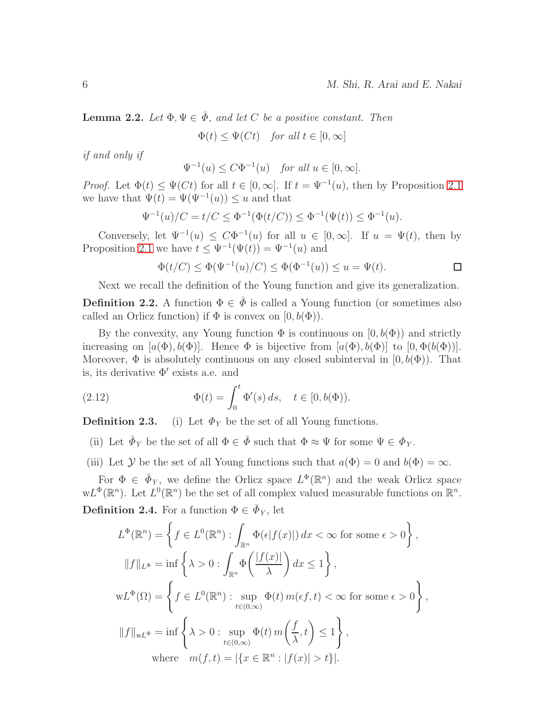**Lemma 2.2.** Let  $\Phi, \Psi \in \bar{\Phi}$ , and let C be a positive constant. Then

 $\Phi(t) \leq \Psi(Ct)$  for all  $t \in [0, \infty]$ 

if and only if

 $\Psi^{-1}(u) \leq C\Phi^{-1}(u)$  for all  $u \in [0,\infty]$ .

*Proof.* Let  $\Phi(t) \leq \Psi(Ct)$  for all  $t \in [0, \infty]$ . If  $t = \Psi^{-1}(u)$ , then by Proposition [2.1](#page-4-4) we have that  $\Psi(t) = \Psi(\Psi^{-1}(u)) \leq u$  and that

$$
\Psi^{-1}(u)/C = t/C \le \Phi^{-1}(\Phi(t/C)) \le \Phi^{-1}(\Psi(t)) \le \Phi^{-1}(u).
$$

Conversely, let  $\Psi^{-1}(u) \leq C\Phi^{-1}(u)$  for all  $u \in [0,\infty]$ . If  $u = \Psi(t)$ , then by Proposition [2.1](#page-4-4) we have  $t \leq \Psi^{-1}(\Psi(t)) = \Psi^{-1}(u)$  and

$$
\Phi(t/C) \le \Phi(\Psi^{-1}(u)/C) \le \Phi(\Phi^{-1}(u)) \le u = \Psi(t).
$$

Next we recall the definition of the Young function and give its generalization.

**Definition 2.2.** A function  $\Phi \in \bar{\Phi}$  is called a Young function (or sometimes also called an Orlicz function) if  $\Phi$  is convex on  $[0, b(\Phi))$ .

By the convexity, any Young function  $\Phi$  is continuous on  $[0, b(\Phi))$  and strictly increasing on  $[a(\Phi), b(\Phi)]$ . Hence  $\Phi$  is bijective from  $[a(\Phi), b(\Phi)]$  to  $[0, \Phi(b(\Phi))]$ . Moreover,  $\Phi$  is absolutely continuous on any closed subinterval in  $[0, b(\Phi))$ . That is, its derivative  $\Phi'$  exists a.e. and

<span id="page-5-0"></span>(2.12) 
$$
\Phi(t) = \int_0^t \Phi'(s) \, ds, \quad t \in [0, b(\Phi)).
$$

**Definition 2.3.** (i) Let  $\Phi_Y$  be the set of all Young functions.

(ii) Let  $\bar{\Phi}_Y$  be the set of all  $\Phi \in \bar{\Phi}$  such that  $\Phi \approx \Psi$  for some  $\Psi \in \Phi_Y$ .

(iii) Let Y be the set of all Young functions such that  $a(\Phi) = 0$  and  $b(\Phi) = \infty$ .

For  $\Phi \in \bar{\Phi}_Y$ , we define the Orlicz space  $L^{\Phi}(\mathbb{R}^n)$  and the weak Orlicz space  $wL^{\Phi}(\mathbb{R}^n)$ . Let  $L^0(\mathbb{R}^n)$  be the set of all complex valued measurable functions on  $\mathbb{R}^n$ .

**Definition 2.4.** For a function  $\Phi \in \bar{\Phi}_Y$ , let

$$
L^{\Phi}(\mathbb{R}^{n}) = \left\{ f \in L^{0}(\mathbb{R}^{n}) : \int_{\mathbb{R}^{n}} \Phi(\epsilon|f(x)|) dx < \infty \text{ for some } \epsilon > 0 \right\},
$$
  

$$
||f||_{L^{\Phi}} = \inf \left\{ \lambda > 0 : \int_{\mathbb{R}^{n}} \Phi\left(\frac{|f(x)|}{\lambda}\right) dx \le 1 \right\},
$$
  

$$
wL^{\Phi}(\Omega) = \left\{ f \in L^{0}(\mathbb{R}^{n}) : \sup_{t \in (0,\infty)} \Phi(t) m(\epsilon f, t) < \infty \text{ for some } \epsilon > 0 \right\},
$$
  

$$
||f||_{wL^{\Phi}} = \inf \left\{ \lambda > 0 : \sup_{t \in (0,\infty)} \Phi(t) m\left(\frac{f}{\lambda}, t\right) \le 1 \right\},
$$
  
where  $m(f, t) = |\{x \in \mathbb{R}^{n} : |f(x)| > t\}|.$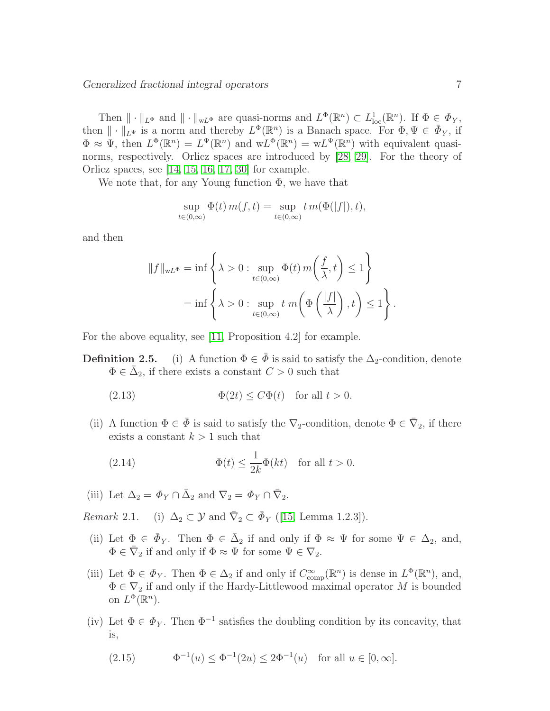Then  $\|\cdot\|_{L^{\Phi}}$  and  $\|\cdot\|_{wL^{\Phi}}$  are quasi-norms and  $L^{\Phi}(\mathbb{R}^n) \subset L^1_{loc}(\mathbb{R}^n)$ . If  $\Phi \in \Phi_Y$ , then  $\|\cdot\|_{L^{\Phi}}$  is a norm and thereby  $L^{\Phi}(\mathbb{R}^n)$  is a Banach space. For  $\Phi, \Psi \in \bar{\Phi}_Y$ , if  $\Phi \approx \Psi$ , then  $L^{\Phi}(\mathbb{R}^n) = L^{\Psi}(\mathbb{R}^n)$  and  $wL^{\Phi}(\mathbb{R}^n) = wL^{\Psi}(\mathbb{R}^n)$  with equivalent quasinorms, respectively. Orlicz spaces are introduced by [\[28,](#page-26-4) [29\]](#page-26-5). For the theory of Orlicz spaces, see [\[14,](#page-25-9) [15,](#page-25-0) [16,](#page-25-10) [17,](#page-25-11) [30\]](#page-26-6) for example.

We note that, for any Young function  $\Phi$ , we have that

$$
\sup_{t \in (0,\infty)} \Phi(t) m(f,t) = \sup_{t \in (0,\infty)} t m(\Phi(|f|),t),
$$

and then

$$
||f||_{wL^{\Phi}} = \inf \left\{ \lambda > 0 : \sup_{t \in (0,\infty)} \Phi(t) m\left(\frac{f}{\lambda}, t\right) \le 1 \right\}
$$
  
= 
$$
\inf \left\{ \lambda > 0 : \sup_{t \in (0,\infty)} t m\left(\Phi\left(\frac{|f|}{\lambda}\right), t\right) \le 1 \right\}.
$$

For the above equality, see [\[11,](#page-24-6) Proposition 4.2] for example.

**Definition 2.5.** (i) A function  $\Phi \in \overline{\Phi}$  is said to satisfy the  $\Delta_2$ -condition, denote  $\Phi \in \bar{\Delta}_2$ , if there exists a constant  $C > 0$  such that

(2.13) 
$$
\Phi(2t) \le C\Phi(t) \quad \text{for all } t > 0.
$$

(ii) A function  $\Phi \in \bar{\Phi}$  is said to satisfy the  $\nabla_2$ -condition, denote  $\Phi \in \bar{\nabla}_2$ , if there exists a constant  $k > 1$  such that

<span id="page-6-0"></span>(2.14) 
$$
\Phi(t) \leq \frac{1}{2k} \Phi(kt) \quad \text{for all } t > 0.
$$

(iii) Let  $\Delta_2 = \Phi_Y \cap \bar{\Delta}_2$  and  $\nabla_2 = \Phi_Y \cap \bar{\nabla}_2$ .

Remark 2.1. (i)  $\Delta_2 \subset \mathcal{Y}$  and  $\overline{\nabla}_2 \subset \overline{\Phi}_Y$  ([\[15,](#page-25-0) Lemma 1.2.3]).

- (ii) Let  $\Phi \in \bar{\Phi}_Y$ . Then  $\Phi \in \bar{\Delta}_2$  if and only if  $\Phi \approx \Psi$  for some  $\Psi \in \Delta_2$ , and,  $\Phi \in \overline{\nabla}_2$  if and only if  $\Phi \approx \Psi$  for some  $\Psi \in \nabla_2$ .
- (iii) Let  $\Phi \in \Phi_Y$ . Then  $\Phi \in \Delta_2$  if and only if  $C_{\text{comp}}^{\infty}(\mathbb{R}^n)$  is dense in  $L^{\Phi}(\mathbb{R}^n)$ , and,  $\Phi \in \nabla_2$  if and only if the Hardy-Littlewood maximal operator M is bounded on  $L^{\Phi}(\mathbb{R}^n)$ .
- (iv) Let  $\Phi \in \Phi_Y$ . Then  $\Phi^{-1}$  satisfies the doubling condition by its concavity, that is,

(2.15) 
$$
\Phi^{-1}(u) \le \Phi^{-1}(2u) \le 2\Phi^{-1}(u) \text{ for all } u \in [0, \infty].
$$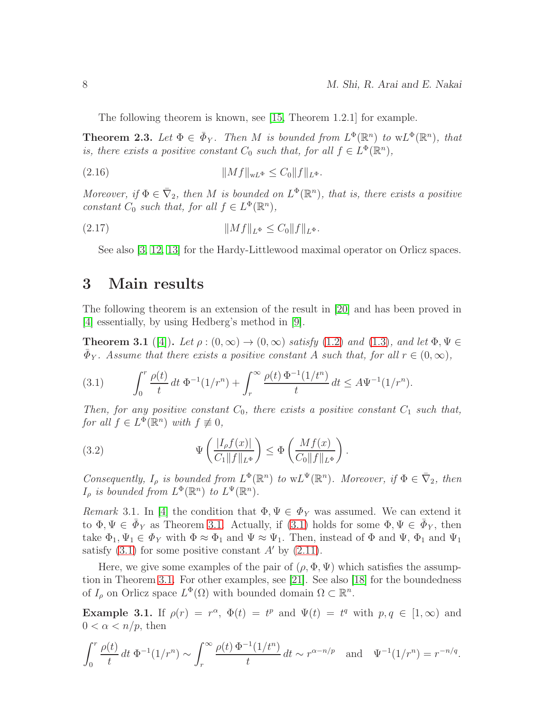The following theorem is known, see [\[15,](#page-25-0) Theorem 1.2.1] for example.

**Theorem 2.3.** Let  $\Phi \in \bar{\Phi}_Y$ . Then M is bounded from  $L^{\Phi}(\mathbb{R}^n)$  to  $wL^{\Phi}(\mathbb{R}^n)$ , that is, there exists a positive constant  $C_0$  such that, for all  $f \in L^{\Phi}(\mathbb{R}^n)$ ,

(2.16) kMfkwL<sup>Φ</sup> ≤ C0kfkL<sup>Φ</sup> .

Moreover, if  $\Phi \in \overline{\nabla}_2$ , then M is bounded on  $L^{\Phi}(\mathbb{R}^n)$ , that is, there exists a positive constant  $C_0$  such that, for all  $f \in L^{\Phi}(\mathbb{R}^n)$ ,

(2.17) kMfkL<sup>Φ</sup> ≤ C0kfkL<sup>Φ</sup> .

See also [\[3,](#page-24-0) [12,](#page-24-7) [13\]](#page-24-8) for the Hardy-Littlewood maximal operator on Orlicz spaces.

#### <span id="page-7-0"></span>3 Main results

The following theorem is an extension of the result in [\[20\]](#page-25-2) and has been proved in [\[4\]](#page-24-5) essentially, by using Hedberg's method in [\[9\]](#page-24-9).

<span id="page-7-1"></span>**Theorem 3.1** ([\[4\]](#page-24-5)). Let  $\rho : (0, \infty) \to (0, \infty)$  satisfy [\(1.2\)](#page-1-0) and [\(1.3\)](#page-1-2), and let  $\Phi, \Psi \in$  $\bar{\Phi}_Y$ . Assume that there exists a positive constant A such that, for all  $r \in (0,\infty)$ ,

<span id="page-7-2"></span>(3.1) 
$$
\int_0^r \frac{\rho(t)}{t} dt \, \Phi^{-1}(1/r^n) + \int_r^\infty \frac{\rho(t) \, \Phi^{-1}(1/t^n)}{t} dt \leq A \Psi^{-1}(1/r^n).
$$

Then, for any positive constant  $C_0$ , there exists a positive constant  $C_1$  such that, for all  $f \in L^{\Phi}(\mathbb{R}^n)$  with  $f \not\equiv 0$ ,

(3.2) 
$$
\Psi\left(\frac{|I_{\rho}f(x)|}{C_1||f||_{L^{\Phi}}}\right) \leq \Phi\left(\frac{Mf(x)}{C_0||f||_{L^{\Phi}}}\right).
$$

Consequently,  $I_{\rho}$  is bounded from  $L^{\Phi}(\mathbb{R}^n)$  to  $wL^{\Psi}(\mathbb{R}^n)$ . Moreover, if  $\Phi \in \overline{\nabla}_2$ , then  $I_{\rho}$  is bounded from  $L^{\Phi}(\mathbb{R}^n)$  to  $L^{\Psi}(\mathbb{R}^n)$ .

Remark 3.1. In [\[4\]](#page-24-5) the condition that  $\Phi, \Psi \in \Phi_Y$  was assumed. We can extend it to  $\Phi, \Psi \in \bar{\Phi}_Y$  as Theorem [3.1.](#page-7-1) Actually, if [\(3.1\)](#page-7-2) holds for some  $\Phi, \Psi \in \bar{\Phi}_Y$ , then take  $\Phi_1, \Psi_1 \in \Phi_Y$  with  $\Phi \approx \Phi_1$  and  $\Psi \approx \Psi_1$ . Then, instead of  $\Phi$  and  $\Psi$ ,  $\Phi_1$  and  $\Psi_1$ satisfy  $(3.1)$  for some positive constant A' by  $(2.11)$ .

Here, we give some examples of the pair of  $(\rho, \Phi, \Psi)$  which satisfies the assumption in Theorem [3.1.](#page-7-1) For other examples, see [\[21\]](#page-25-4). See also [\[18\]](#page-25-12) for the boundedness of  $I_\rho$  on Orlicz space  $L^\Phi(\Omega)$  with bounded domain  $\Omega \subset \mathbb{R}^n$ .

Example 3.1. If  $\rho(r) = r^{\alpha}$ ,  $\Phi(t) = t^p$  and  $\Psi(t) = t^q$  with  $p, q \in [1, \infty)$  and  $0 < \alpha < n/p$ , then

$$
\int_0^r \frac{\rho(t)}{t} dt \, \Phi^{-1}(1/r^n) \sim \int_r^\infty \frac{\rho(t) \, \Phi^{-1}(1/t^n)}{t} dt \sim r^{\alpha - n/p} \quad \text{and} \quad \Psi^{-1}(1/r^n) = r^{-n/q}.
$$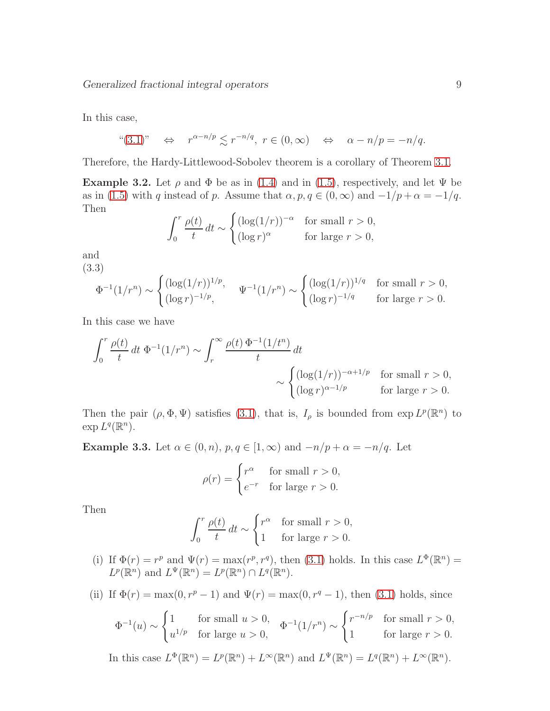In this case,

$$
((3.1)
$$
"  $\Leftrightarrow$   $r^{\alpha - n/p} \leq r^{-n/q}, r \in (0, \infty)$   $\Leftrightarrow$   $\alpha - n/p = -n/q.$ 

Therefore, the Hardy-Littlewood-Sobolev theorem is a corollary of Theorem [3.1.](#page-7-1)

Example 3.2. Let  $\rho$  and  $\Phi$  be as in [\(1.4\)](#page-1-3) and in [\(1.5\)](#page-1-4), respectively, and let  $\Psi$  be as in [\(1.5\)](#page-1-4) with q instead of p. Assume that  $\alpha, p, q \in (0, \infty)$  and  $-1/p + \alpha = -1/q$ . Then

$$
\int_0^r \frac{\rho(t)}{t} dt \sim \begin{cases} (\log(1/r))^{-\alpha} & \text{for small } r > 0, \\ (\log r)^{\alpha} & \text{for large } r > 0, \end{cases}
$$

and

<span id="page-8-0"></span>(3.3)  
\n
$$
\Phi^{-1}(1/r^n) \sim \begin{cases}\n(\log(1/r))^{1/p}, & \Psi^{-1}(1/r^n) \sim \begin{cases}\n(\log(1/r))^{1/q} & \text{for small } r > 0, \\
(\log r)^{-1/p}, & \text{for large } r > 0.\n\end{cases}
$$

In this case we have

$$
\int_0^r \frac{\rho(t)}{t} dt \, \Phi^{-1}(1/r^n) \sim \int_r^\infty \frac{\rho(t) \, \Phi^{-1}(1/t^n)}{t} dt
$$

$$
\sim \begin{cases} (\log(1/r))^{-\alpha+1/p} & \text{for small } r > 0, \\ (\log r)^{\alpha-1/p} & \text{for large } r > 0. \end{cases}
$$

Then the pair  $(\rho, \Phi, \Psi)$  satisfies [\(3.1\)](#page-7-2), that is,  $I_\rho$  is bounded from  $\exp L^p(\mathbb{R}^n)$  to  $\exp L^q(\mathbb{R}^n)$ .

**Example 3.3.** Let  $\alpha \in (0, n)$ ,  $p, q \in [1, \infty)$  and  $-n/p + \alpha = -n/q$ . Let

$$
\rho(r) = \begin{cases} r^{\alpha} & \text{for small } r > 0, \\ e^{-r} & \text{for large } r > 0. \end{cases}
$$

Then

$$
\int_0^r \frac{\rho(t)}{t} dt \sim \begin{cases} r^{\alpha} & \text{for small } r > 0, \\ 1 & \text{for large } r > 0. \end{cases}
$$

(i) If  $\Phi(r) = r^p$  and  $\Psi(r) = \max(r^p, r^q)$ , then [\(3.1\)](#page-7-2) holds. In this case  $L^{\Phi}(\mathbb{R}^n) =$  $L^p(\mathbb{R}^n)$  and  $L^{\Psi}(\mathbb{R}^n) = L^p(\mathbb{R}^n) \cap L^q(\mathbb{R}^n)$ .

(ii) If 
$$
\Phi(r) = \max(0, r^p - 1)
$$
 and  $\Psi(r) = \max(0, r^q - 1)$ , then (3.1) holds, since

$$
\Phi^{-1}(u) \sim \begin{cases} 1 & \text{for small } u > 0, \\ u^{1/p} & \text{for large } u > 0, \end{cases} \quad \Phi^{-1}(1/r^n) \sim \begin{cases} r^{-n/p} & \text{for small } r > 0, \\ 1 & \text{for large } r > 0. \end{cases}
$$

In this case 
$$
L^{\Phi}(\mathbb{R}^n) = L^p(\mathbb{R}^n) + L^{\infty}(\mathbb{R}^n)
$$
 and  $L^{\Psi}(\mathbb{R}^n) = L^q(\mathbb{R}^n) + L^{\infty}(\mathbb{R}^n)$ .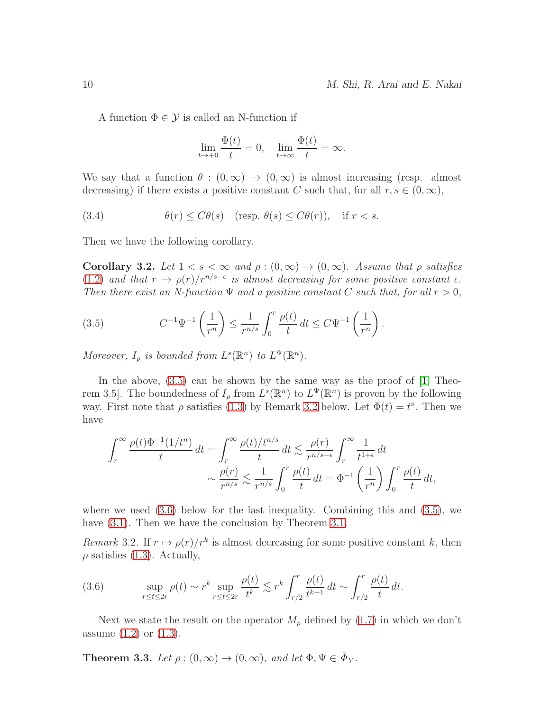A function  $\Phi \in \mathcal{Y}$  is called an N-function if

$$
\lim_{t \to +0} \frac{\Phi(t)}{t} = 0, \quad \lim_{t \to \infty} \frac{\Phi(t)}{t} = \infty.
$$

We say that a function  $\theta : (0, \infty) \to (0, \infty)$  is almost increasing (resp. almost decreasing) if there exists a positive constant C such that, for all  $r, s \in (0, \infty)$ ,

(3.4) 
$$
\theta(r) \le C\theta(s) \quad (\text{resp. } \theta(s) \le C\theta(r)), \quad \text{if } r < s.
$$

Then we have the following corollary.

<span id="page-9-4"></span>Corollary 3.2. Let  $1 < s < \infty$  and  $\rho : (0, \infty) \to (0, \infty)$ . Assume that  $\rho$  satisfies [\(1.2\)](#page-1-0) and that  $r \mapsto \rho(r)/r^{n/s-\epsilon}$  is almost decreasing for some positive constant  $\epsilon$ . Then there exist an N-function  $\Psi$  and a positive constant C such that, for all  $r > 0$ ,

<span id="page-9-0"></span>(3.5) 
$$
C^{-1}\Psi^{-1}\left(\frac{1}{r^n}\right) \leq \frac{1}{r^{n/s}} \int_0^r \frac{\rho(t)}{t} dt \leq C\Psi^{-1}\left(\frac{1}{r^n}\right).
$$

Moreover,  $I_{\rho}$  is bounded from  $L^{s}(\mathbb{R}^{n})$  to  $L^{\Psi}(\mathbb{R}^{n})$ .

In the above,  $(3.5)$  can be shown by the same way as the proof of  $[1,$  Theorem 3.5. The boundedness of  $I_\rho$  from  $L^s(\mathbb{R}^n)$  to  $L^{\Psi}(\mathbb{R}^n)$  is proven by the following way. First note that  $\rho$  satisfies [\(1.3\)](#page-1-2) by Remark [3.2](#page-9-1) below. Let  $\Phi(t) = t^s$ . Then we have

$$
\int_r^{\infty} \frac{\rho(t)\Phi^{-1}(1/t^n)}{t} dt = \int_r^{\infty} \frac{\rho(t)/t^{n/s}}{t} dt \lesssim \frac{\rho(r)}{r^{n/s-\epsilon}} \int_r^{\infty} \frac{1}{t^{1+\epsilon}} dt
$$

$$
\sim \frac{\rho(r)}{r^{n/s}} \lesssim \frac{1}{r^{n/s}} \int_0^r \frac{\rho(t)}{t} dt = \Phi^{-1}\left(\frac{1}{r^n}\right) \int_0^r \frac{\rho(t)}{t} dt,
$$

where we used  $(3.6)$  below for the last inequality. Combining this and  $(3.5)$ , we have  $(3.1)$ . Then we have the conclusion by Theorem [3.1.](#page-7-1)

<span id="page-9-1"></span>Remark 3.2. If  $r \mapsto \rho(r)/r^k$  is almost decreasing for some positive constant k, then  $\rho$  satisfies [\(1.3\)](#page-1-2). Actually,

<span id="page-9-2"></span>(3.6) 
$$
\sup_{r \le t \le 2r} \rho(t) \sim r^k \sup_{r \le t \le 2r} \frac{\rho(t)}{t^k} \lesssim r^k \int_{r/2}^r \frac{\rho(t)}{t^{k+1}} dt \sim \int_{r/2}^r \frac{\rho(t)}{t} dt.
$$

Next we state the result on the operator  $M_{\rho}$  defined by [\(1.7\)](#page-2-1) in which we don't assume  $(1.2)$  or  $(1.3)$ .

<span id="page-9-3"></span>**Theorem 3.3.** Let  $\rho : (0, \infty) \to (0, \infty)$ , and let  $\Phi, \Psi \in \bar{\Phi}_Y$ .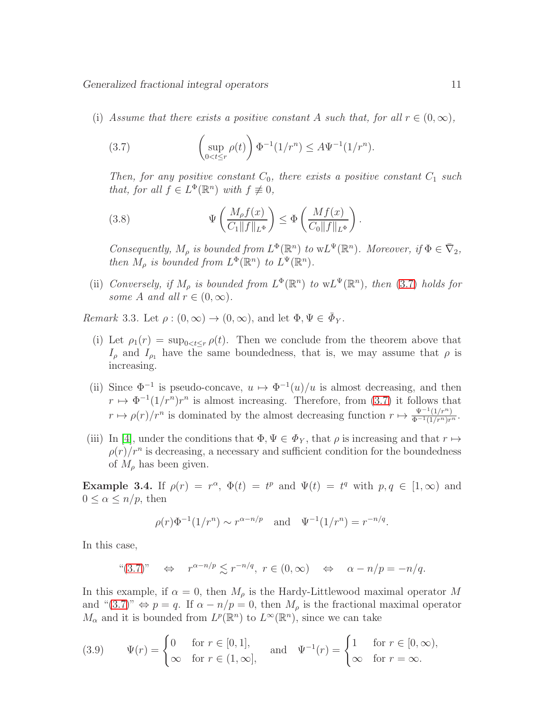(i) Assume that there exists a positive constant A such that, for all  $r \in (0,\infty)$ ,

<span id="page-10-0"></span>(3.7) 
$$
\left(\sup_{0
$$

Then, for any positive constant  $C_0$ , there exists a positive constant  $C_1$  such that, for all  $f \in L^{\Phi}(\mathbb{R}^n)$  with  $f \not\equiv 0$ ,

<span id="page-10-2"></span>(3.8) 
$$
\Psi\left(\frac{M_{\rho}f(x)}{C_1||f||_{L^{\Phi}}}\right) \leq \Phi\left(\frac{Mf(x)}{C_0||f||_{L^{\Phi}}}\right).
$$

Consequently,  $M_\rho$  is bounded from  $L^\Phi(\mathbb{R}^n)$  to  $wL^\Psi(\mathbb{R}^n)$ . Moreover, if  $\Phi \in \overline{\nabla}_2$ , then  $M_\rho$  is bounded from  $L^\Phi(\mathbb{R}^n)$  to  $L^\Psi(\mathbb{R}^n)$ .

(ii) Conversely, if  $M_\rho$  is bounded from  $L^\Phi(\mathbb{R}^n)$  to  $wL^\Psi(\mathbb{R}^n)$ , then [\(3.7\)](#page-10-0) holds for some A and all  $r \in (0, \infty)$ .

Remark 3.3. Let  $\rho : (0, \infty) \to (0, \infty)$ , and let  $\Phi, \Psi \in \bar{\Phi}_Y$ .

- (i) Let  $\rho_1(r) = \sup_{0 \le t \le r} \rho(t)$ . Then we conclude from the theorem above that  $I_{\rho}$  and  $I_{\rho_1}$  have the same boundedness, that is, we may assume that  $\rho$  is increasing.
- (ii) Since  $\Phi^{-1}$  is pseudo-concave,  $u \mapsto \Phi^{-1}(u)/u$  is almost decreasing, and then  $r \mapsto \Phi^{-1}(1/r^n)r^n$  is almost increasing. Therefore, from [\(3.7\)](#page-10-0) it follows that  $r \mapsto \rho(r)/r^n$  is dominated by the almost decreasing function  $r \mapsto \frac{\Psi^{-1}(1/r^n)}{\Phi^{-1}(1/r^n)r^n}$ .
- (iii) In [\[4\]](#page-24-5), under the conditions that  $\Phi, \Psi \in \Phi_Y$ , that  $\rho$  is increasing and that  $r \mapsto$  $\rho(r)/r^n$  is decreasing, a necessary and sufficient condition for the boundedness of  $M_{\rho}$  has been given.

Example 3.4. If  $\rho(r) = r^{\alpha}$ ,  $\Phi(t) = t^p$  and  $\Psi(t) = t^q$  with  $p, q \in [1, \infty)$  and  $0 \leq \alpha \leq n/p$ , then

$$
\rho(r)\Phi^{-1}(1/r^n) \sim r^{\alpha - n/p}
$$
 and  $\Psi^{-1}(1/r^n) = r^{-n/q}$ .

In this case,

$$
((3.7))
$$
  $\Leftrightarrow$   $r^{\alpha - n/p} \le r^{-n/q}, r \in (0, \infty)$   $\Leftrightarrow$   $\alpha - n/p = -n/q.$ 

In this example, if  $\alpha = 0$ , then  $M_{\rho}$  is the Hardy-Littlewood maximal operator M and " $(3.7)$ "  $\Leftrightarrow p = q$ . If  $\alpha - n/p = 0$ , then  $M_\rho$  is the fractional maximal operator  $M_{\alpha}$  and it is bounded from  $L^p(\mathbb{R}^n)$  to  $L^{\infty}(\mathbb{R}^n)$ , since we can take

<span id="page-10-1"></span>(3.9) 
$$
\Psi(r) = \begin{cases} 0 & \text{for } r \in [0,1], \\ \infty & \text{for } r \in (1,\infty], \end{cases} \text{ and } \Psi^{-1}(r) = \begin{cases} 1 & \text{for } r \in [0,\infty), \\ \infty & \text{for } r = \infty. \end{cases}
$$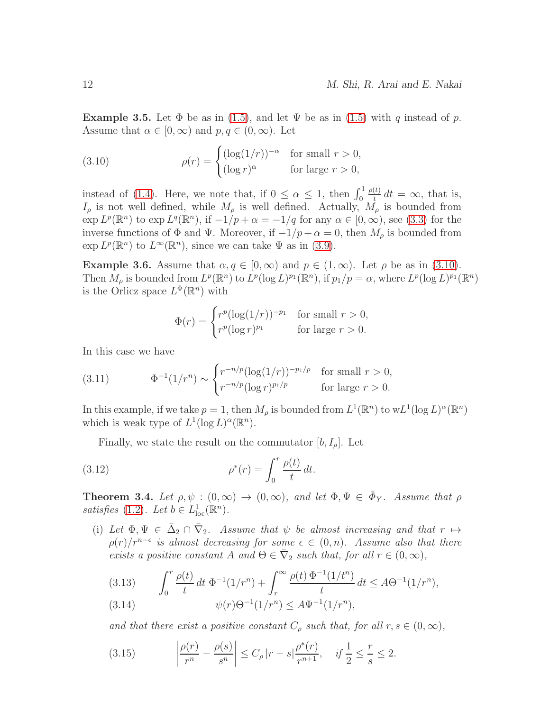**Example 3.5.** Let  $\Phi$  be as in [\(1.5\)](#page-1-4), and let  $\Psi$  be as in (1.5) with q instead of p. Assume that  $\alpha \in [0,\infty)$  and  $p, q \in (0,\infty)$ . Let

<span id="page-11-0"></span>(3.10) 
$$
\rho(r) = \begin{cases} (\log(1/r))^{-\alpha} & \text{for small } r > 0, \\ (\log r)^{\alpha} & \text{for large } r > 0, \end{cases}
$$

instead of [\(1.4\)](#page-1-3). Here, we note that, if  $0 \leq \alpha \leq 1$ , then  $\int_0^1$  $\rho(t)$  $\frac{d(t)}{dt}$  dt =  $\infty$ , that is,  $I_{\rho}$  is not well defined, while  $M_{\rho}$  is well defined. Actually,  $M_{\rho}$  is bounded from  $\exp L^p(\mathbb{R}^n)$  to  $\exp L^q(\mathbb{R}^n)$ , if  $-1/p + \alpha = -1/q$  for any  $\alpha \in [0, \infty)$ , see [\(3.3\)](#page-8-0) for the inverse functions of  $\Phi$  and  $\Psi$ . Moreover, if  $-1/p + \alpha = 0$ , then  $M_\rho$  is bounded from  $\exp L^p(\mathbb{R}^n)$  to  $L^{\infty}(\mathbb{R}^n)$ , since we can take  $\Psi$  as in [\(3.9\)](#page-10-1).

**Example 3.6.** Assume that  $\alpha, q \in [0, \infty)$  and  $p \in (1, \infty)$ . Let  $\rho$  be as in [\(3.10\)](#page-11-0). Then  $M_\rho$  is bounded from  $L^p(\mathbb{R}^n)$  to  $L^p(\log L)^{p_1}(\mathbb{R}^n)$ , if  $p_1/p = \alpha$ , where  $L^p(\log L)^{p_1}(\mathbb{R}^n)$ is the Orlicz space  $L^{\Phi}(\mathbb{R}^n)$  with

$$
\Phi(r) = \begin{cases} r^p (\log(1/r))^{-p_1} & \text{for small } r > 0, \\ r^p (\log r)^{p_1} & \text{for large } r > 0. \end{cases}
$$

In this case we have

<span id="page-11-4"></span>(3.11) 
$$
\Phi^{-1}(1/r^n) \sim \begin{cases} r^{-n/p} (\log(1/r))^{-p_1/p} & \text{for small } r > 0, \\ r^{-n/p} (\log r)^{p_1/p} & \text{for large } r > 0. \end{cases}
$$

In this example, if we take  $p = 1$ , then  $M_\rho$  is bounded from  $L^1(\mathbb{R}^n)$  to  $wL^1(\log L)^\alpha(\mathbb{R}^n)$ which is weak type of  $L^1(\log L)^\alpha(\mathbb{R}^n)$ .

<span id="page-11-5"></span>Finally, we state the result on the commutator  $[b, I_{\rho}]$ . Let

(3.12) 
$$
\rho^*(r) = \int_0^r \frac{\rho(t)}{t} dt.
$$

<span id="page-11-6"></span>**Theorem 3.4.** Let  $\rho, \psi : (0, \infty) \to (0, \infty)$ , and let  $\Phi, \Psi \in \bar{\Phi}_Y$ . Assume that  $\rho$ satisfies [\(1.2\)](#page-1-0). Let  $b \in L^1_{loc}(\mathbb{R}^n)$ .

(i) Let  $\Phi, \Psi \in \bar{\Delta}_2 \cap \bar{\nabla}_2$ . Assume that  $\psi$  be almost increasing and that  $r \mapsto$  $\rho(r)/r^{n-\epsilon}$  is almost decreasing for some  $\epsilon \in (0, n)$ . Assume also that there exists a positive constant A and  $\Theta \in \overline{\nabla}_2$  such that, for all  $r \in (0, \infty)$ ,

<span id="page-11-1"></span>(3.13) 
$$
\int_0^r \frac{\rho(t)}{t} dt \, \Phi^{-1}(1/r^n) + \int_r^\infty \frac{\rho(t) \, \Phi^{-1}(1/t^n)}{t} dt \leq A\Theta^{-1}(1/r^n),
$$
  
(3.14) 
$$
\psi(r)\Theta^{-1}(1/r^n) \leq A\Psi^{-1}(1/r^n),
$$

<span id="page-11-2"></span>and that there exist a positive constant  $C_{\rho}$  such that, for all  $r, s \in (0, \infty)$ ,

<span id="page-11-3"></span>(3.15) 
$$
\left|\frac{\rho(r)}{r^n} - \frac{\rho(s)}{s^n}\right| \le C_\rho |r-s| \frac{\rho^*(r)}{r^{n+1}}, \quad \text{if } \frac{1}{2} \le \frac{r}{s} \le 2.
$$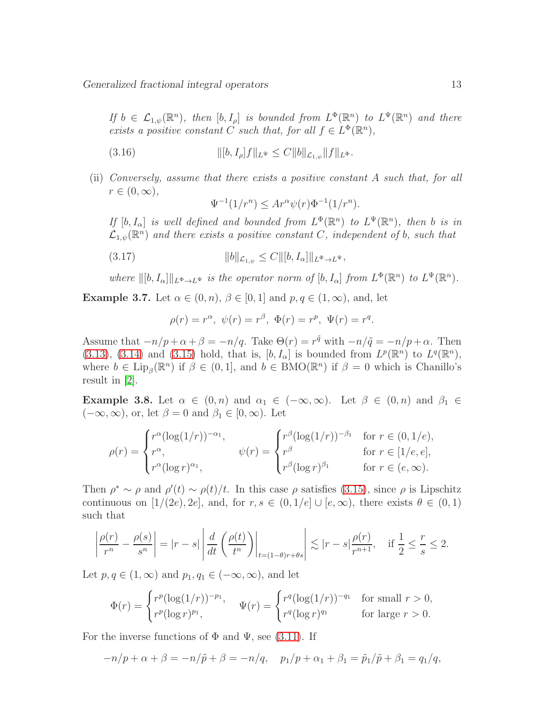If  $b \in \mathcal{L}_{1,\psi}(\mathbb{R}^n)$ , then  $[b, I_\rho]$  is bounded from  $L^{\Phi}(\mathbb{R}^n)$  to  $L^{\Psi}(\mathbb{R}^n)$  and there exists a positive constant C such that, for all  $f \in L^{\Phi}(\mathbb{R}^n)$ ,

(3.16) 
$$
\| [b, I_{\rho}] f \|_{L^{\Psi}} \leq C \| b \|_{\mathcal{L}_{1,\psi}} \| f \|_{L^{\Phi}}.
$$

(ii) Conversely, assume that there exists a positive constant A such that, for all  $r \in (0,\infty),$ 

<span id="page-12-0"></span>
$$
\Psi^{-1}(1/r^n) \le Ar^\alpha \psi(r) \Phi^{-1}(1/r^n).
$$

If  $[b, I_{\alpha}]$  is well defined and bounded from  $L^{\Phi}(\mathbb{R}^n)$  to  $L^{\Psi}(\mathbb{R}^n)$ , then b is in  $\mathcal{L}_{1,\psi}(\mathbb{R}^n)$  and there exists a positive constant C, independent of b, such that

(3.17) 
$$
||b||_{\mathcal{L}_{1,\psi}} \leq C ||[b, I_{\alpha}]||_{L^{\Phi} \to L^{\Psi}},
$$

where  $\|[b, I_{\alpha}]\|_{L^{\Phi}\to L^{\Psi}}$  is the operator norm of  $[b, I_{\alpha}]$  from  $L^{\Phi}(\mathbb{R}^n)$  to  $L^{\Psi}(\mathbb{R}^n)$ .

**Example 3.7.** Let  $\alpha \in (0, n)$ ,  $\beta \in [0, 1]$  and  $p, q \in (1, \infty)$ , and, let

$$
\rho(r) = r^{\alpha}, \ \psi(r) = r^{\beta}, \ \Phi(r) = r^{p}, \ \Psi(r) = r^{q}.
$$

Assume that  $-n/p+\alpha+\beta = -n/q$ . Take  $\Theta(r) = r^{\tilde{q}}$  with  $-n/\tilde{q} = -n/p+\alpha$ . Then [\(3.13\)](#page-11-1), [\(3.14\)](#page-11-2) and [\(3.15\)](#page-11-3) hold, that is,  $[b, I_{\alpha}]$  is bounded from  $L^p(\mathbb{R}^n)$  to  $L^q(\mathbb{R}^n)$ , where  $b \in \text{Lip}_{\beta}(\mathbb{R}^n)$  if  $\beta \in (0,1]$ , and  $b \in \text{BMO}(\mathbb{R}^n)$  if  $\beta = 0$  which is Chanillo's result in [\[2\]](#page-24-2).

**Example 3.8.** Let  $\alpha \in (0, n)$  and  $\alpha_1 \in (-\infty, \infty)$ . Let  $\beta \in (0, n)$  and  $\beta_1 \in$  $(-\infty, \infty)$ , or, let  $\beta = 0$  and  $\beta_1 \in [0, \infty)$ . Let

$$
\rho(r) = \begin{cases} r^{\alpha} (\log(1/r))^{-\alpha_1}, & \psi(r) = \begin{cases} r^{\beta} (\log(1/r))^{-\beta_1} & \text{for } r \in (0, 1/e), \\ r^{\alpha}, & \text{for } r \in [1/e, e], \\ r^{\alpha} (\log r)^{\alpha_1}, & \text{for } r \in (e, \infty). \end{cases}
$$

Then  $\rho^* \sim \rho$  and  $\rho'(t) \sim \rho(t)/t$ . In this case  $\rho$  satisfies [\(3.15\)](#page-11-3), since  $\rho$  is Lipschitz continuous on  $[1/(2e), 2e]$ , and, for  $r, s \in (0, 1/e] \cup [e, \infty)$ , there exists  $\theta \in (0, 1)$ such that

$$
\left|\frac{\rho(r)}{r^n}-\frac{\rho(s)}{s^n}\right|=|r-s|\left|\frac{d}{dt}\left(\frac{\rho(t)}{t^n}\right)\right|_{t=(1-\theta)r+\theta s}\right|\lesssim |r-s|\frac{\rho(r)}{r^{n+1}},\quad\text{if } \frac{1}{2}\leq \frac{r}{s}\leq 2.
$$

Let  $p, q \in (1, \infty)$  and  $p_1, q_1 \in (-\infty, \infty)$ , and let

$$
\Phi(r) = \begin{cases} r^p (\log(1/r))^{-p_1}, & \Psi(r) = \begin{cases} r^q (\log(1/r))^{-q_1} & \text{for small } r > 0, \\ r^q (\log r)^{q_1} & \text{for large } r > 0. \end{cases} \end{cases}
$$

For the inverse functions of  $\Phi$  and  $\Psi$ , see [\(3.11\)](#page-11-4). If

$$
-n/p + \alpha + \beta = -n/\tilde{p} + \beta = -n/q, \quad p_1/p + \alpha_1 + \beta_1 = \tilde{p}_1/\tilde{p} + \beta_1 = q_1/q,
$$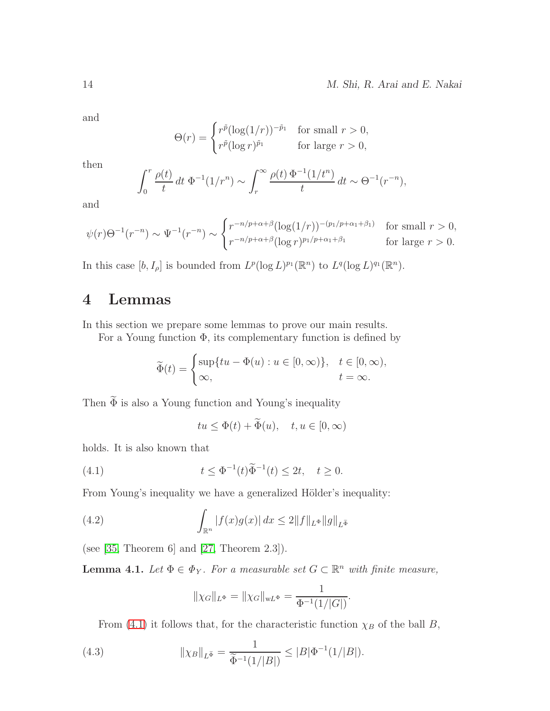and

$$
\Theta(r) = \begin{cases} r^{\tilde{p}} (\log(1/r))^{-\tilde{p}_1} & \text{for small } r > 0, \\ r^{\tilde{p}} (\log r)^{\tilde{p}_1} & \text{for large } r > 0, \end{cases}
$$

then

$$
\int_0^r \frac{\rho(t)}{t} dt \, \Phi^{-1}(1/r^n) \sim \int_r^\infty \frac{\rho(t) \, \Phi^{-1}(1/t^n)}{t} dt \sim \Theta^{-1}(r^{-n}),
$$

and

$$
\psi(r)\Theta^{-1}(r^{-n}) \sim \Psi^{-1}(r^{-n}) \sim \begin{cases} r^{-n/p+\alpha+\beta}(\log(1/r))^{-(p_1/p+\alpha_1+\beta_1)} & \text{for small } r > 0, \\ r^{-n/p+\alpha+\beta}(\log r)^{p_1/p+\alpha_1+\beta_1} & \text{for large } r > 0. \end{cases}
$$

In this case  $[b, I_\rho]$  is bounded from  $L^p(\log L)^{p_1}(\mathbb{R}^n)$  to  $L^q(\log L)^{q_1}(\mathbb{R}^n)$ .

### <span id="page-13-0"></span>4 Lemmas

In this section we prepare some lemmas to prove our main results.

For a Young function  $\Phi$ , its complementary function is defined by

$$
\widetilde{\Phi}(t) = \begin{cases} \sup\{tu - \Phi(u) : u \in [0, \infty)\}, & t \in [0, \infty), \\ \infty, & t = \infty. \end{cases}
$$

Then  $\widetilde{\Phi}$  is also a Young function and Young's inequality

<span id="page-13-1"></span>
$$
tu \leq \Phi(t) + \widetilde{\Phi}(u), \quad t, u \in [0, \infty)
$$

holds. It is also known that

(4.1) 
$$
t \leq \Phi^{-1}(t)\widetilde{\Phi}^{-1}(t) \leq 2t, \quad t \geq 0.
$$

From Young's inequality we have a generalized Hölder's inequality:

(4.2) 
$$
\int_{\mathbb{R}^n} |f(x)g(x)| dx \le 2||f||_{L^{\Phi}}||g||_{L^{\widetilde{\Phi}}}
$$

(see [\[35,](#page-26-7) Theorem 6] and [\[27,](#page-25-1) Theorem 2.3]).

<span id="page-13-4"></span>**Lemma 4.1.** Let  $\Phi \in \Phi_Y$ . For a measurable set  $G \subset \mathbb{R}^n$  with finite measure,

<span id="page-13-3"></span><span id="page-13-2"></span>
$$
\|\chi_G\|_{L^{\Phi}} = \|\chi_G\|_{\le L^{\Phi}} = \frac{1}{\Phi^{-1}(1/|G|)}.
$$

From [\(4.1\)](#page-13-1) it follows that, for the characteristic function  $\chi_B$  of the ball B,

(4.3) 
$$
\|\chi_B\|_{L^{\tilde{\Phi}}} = \frac{1}{\tilde{\Phi}^{-1}(1/|B|)} \le |B|\Phi^{-1}(1/|B|).
$$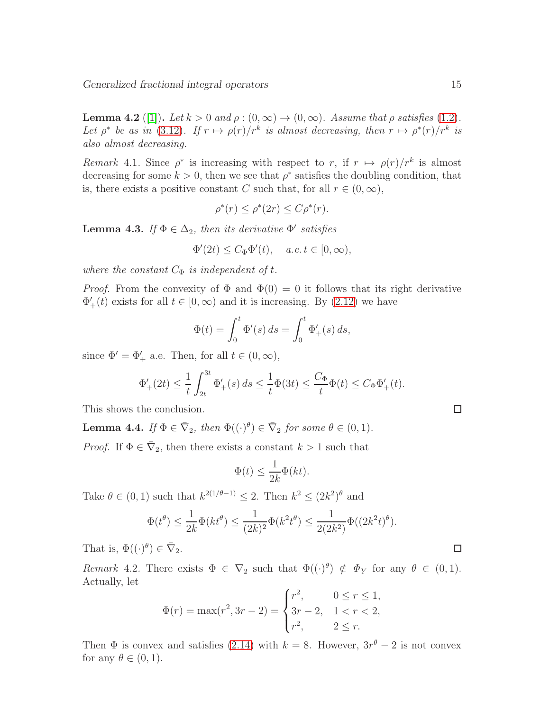**Lemma 4.2** ([\[1\]](#page-24-10)). Let  $k > 0$  and  $\rho : (0, \infty) \to (0, \infty)$ . Assume that  $\rho$  satisfies [\(1.2\)](#page-1-0). Let  $\rho^*$  be as in [\(3.12\)](#page-11-5). If  $r \mapsto \rho(r)/r^k$  is almost decreasing, then  $r \mapsto \rho^*(r)/r^k$  is also almost decreasing.

<span id="page-14-0"></span>Remark 4.1. Since  $\rho^*$  is increasing with respect to r, if  $r \mapsto \rho(r)/r^k$  is almost decreasing for some  $k > 0$ , then we see that  $\rho^*$  satisfies the doubling condition, that is, there exists a positive constant C such that, for all  $r \in (0, \infty)$ ,

$$
\rho^*(r) \le \rho^*(2r) \le C\rho^*(r).
$$

<span id="page-14-1"></span>**Lemma 4.3.** If  $\Phi \in \Delta_2$ , then its derivative  $\Phi'$  satisfies

$$
\Phi'(2t) \le C_{\Phi} \Phi'(t), \quad a.e. \ t \in [0, \infty),
$$

where the constant  $C_{\Phi}$  is independent of t.

*Proof.* From the convexity of  $\Phi$  and  $\Phi(0) = 0$  it follows that its right derivative  $\Phi'_{+}(t)$  exists for all  $t \in [0, \infty)$  and it is increasing. By  $(2.12)$  we have

$$
\Phi(t) = \int_0^t \Phi'(s) \, ds = \int_0^t \Phi'_+(s) \, ds,
$$

since  $\Phi' = \Phi'_+$  a.e. Then, for all  $t \in (0, \infty)$ ,

$$
\Phi'_+(2t) \le \frac{1}{t} \int_{2t}^{3t} \Phi'_+(s) \, ds \le \frac{1}{t} \Phi(3t) \le \frac{C_{\Phi}}{t} \Phi(t) \le C_{\Phi} \Phi'_+(t).
$$

This shows the conclusion.

<span id="page-14-2"></span>**Lemma 4.4.** If  $\Phi \in \overline{\nabla}_2$ , then  $\Phi((\cdot)^\theta) \in \overline{\nabla}_2$  for some  $\theta \in (0,1)$ .

*Proof.* If  $\Phi \in \overline{\nabla}_2$ , then there exists a constant  $k > 1$  such that

$$
\Phi(t) \le \frac{1}{2k} \Phi(kt).
$$

Take  $\theta \in (0,1)$  such that  $k^{2(1/\theta-1)} \leq 2$ . Then  $k^2 \leq (2k^2)^{\theta}$  and

$$
\Phi(t^{\theta}) \le \frac{1}{2k} \Phi(kt^{\theta}) \le \frac{1}{(2k)^2} \Phi(k^2 t^{\theta}) \le \frac{1}{2(2k^2)} \Phi((2k^2 t)^{\theta}).
$$

That is,  $\Phi((\cdot)^{\theta}) \in \overline{\nabla}_2$ .

Remark 4.2. There exists  $\Phi \in \nabla_2$  such that  $\Phi((\cdot)^\theta) \notin \Phi_Y$  for any  $\theta \in (0,1)$ . Actually, let

$$
\Phi(r) = \max(r^2, 3r - 2) = \begin{cases} r^2, & 0 \le r \le 1, \\ 3r - 2, & 1 < r < 2, \\ r^2, & 2 \le r. \end{cases}
$$

Then  $\Phi$  is convex and satisfies [\(2.14\)](#page-6-0) with  $k = 8$ . However,  $3r^{\theta} - 2$  is not convex for any  $\theta \in (0,1)$ .

 $\Box$ 

 $\Box$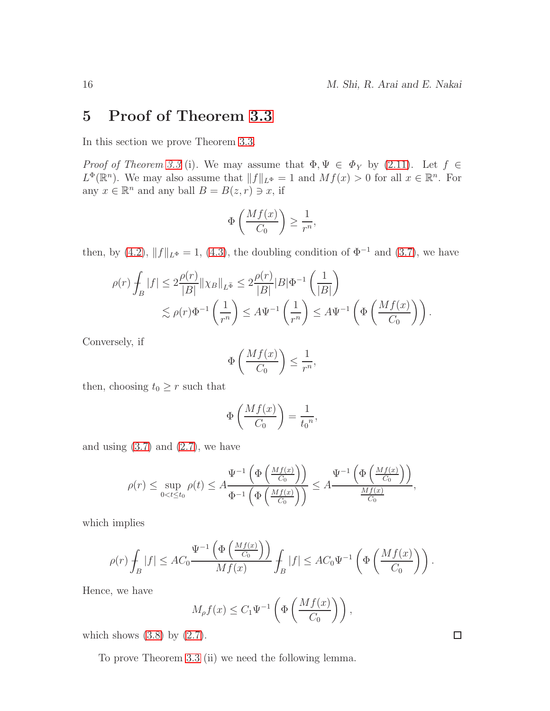#### <span id="page-15-0"></span>5 Proof of Theorem [3.3](#page-9-3)

In this section we prove Theorem [3.3.](#page-9-3)

Proof of Theorem [3.3](#page-9-3) (i). We may assume that  $\Phi, \Psi \in \Phi_Y$  by [\(2.11\)](#page-4-5). Let  $f \in$  $L^{\Phi}(\mathbb{R}^n)$ . We may also assume that  $||f||_{L^{\Phi}} = 1$  and  $Mf(x) > 0$  for all  $x \in \mathbb{R}^n$ . For any  $x \in \mathbb{R}^n$  and any ball  $B = B(z, r) \ni x$ , if

$$
\Phi\left(\frac{Mf(x)}{C_0}\right) \ge \frac{1}{r^n},
$$

then, by [\(4.2\)](#page-13-2),  $||f||_{L<sup>\Phi</sup>} = 1$ , [\(4.3\)](#page-13-3), the doubling condition of  $\Phi^{-1}$  and [\(3.7\)](#page-10-0), we have

$$
\rho(r)\int_B|f| \le 2\frac{\rho(r)}{|B|}\|\chi_B\|_{L^{\widetilde{\Phi}}} \le 2\frac{\rho(r)}{|B|}|B|\Phi^{-1}\left(\frac{1}{|B|}\right)
$$
  

$$
\lesssim \rho(r)\Phi^{-1}\left(\frac{1}{r^n}\right) \le A\Psi^{-1}\left(\frac{1}{r^n}\right) \le A\Psi^{-1}\left(\Phi\left(\frac{Mf(x)}{C_0}\right)\right).
$$

Conversely, if

$$
\Phi\left(\frac{Mf(x)}{C_0}\right) \le \frac{1}{r^n},
$$

then, choosing  $t_0 \geq r$  such that

$$
\Phi\left(\frac{Mf(x)}{C_0}\right) = \frac{1}{t_0^n},
$$

and using  $(3.7)$  and  $(2.7)$ , we have

$$
\rho(r) \le \sup_{0 < t \le t_0} \rho(t) \le A \frac{\Psi^{-1}\left(\Phi\left(\frac{Mf(x)}{C_0}\right)\right)}{\Phi^{-1}\left(\Phi\left(\frac{Mf(x)}{C_0}\right)\right)} \le A \frac{\Psi^{-1}\left(\Phi\left(\frac{Mf(x)}{C_0}\right)\right)}{\frac{Mf(x)}{C_0}},
$$

which implies

$$
\rho(r)\int_B|f|\leq AC_0\frac{\Psi^{-1}\left(\Phi\left(\frac{Mf(x)}{C_0}\right)\right)}{Mf(x)}\int_B|f|\leq AC_0\Psi^{-1}\left(\Phi\left(\frac{Mf(x)}{C_0}\right)\right).
$$

Hence, we have

$$
M_{\rho}f(x) \leq C_1 \Psi^{-1} \left( \Phi \left( \frac{Mf(x)}{C_0} \right) \right),
$$

which shows  $(3.8)$  by  $(2.7)$ .

To prove Theorem [3.3](#page-9-3) (ii) we need the following lemma.

 $\Box$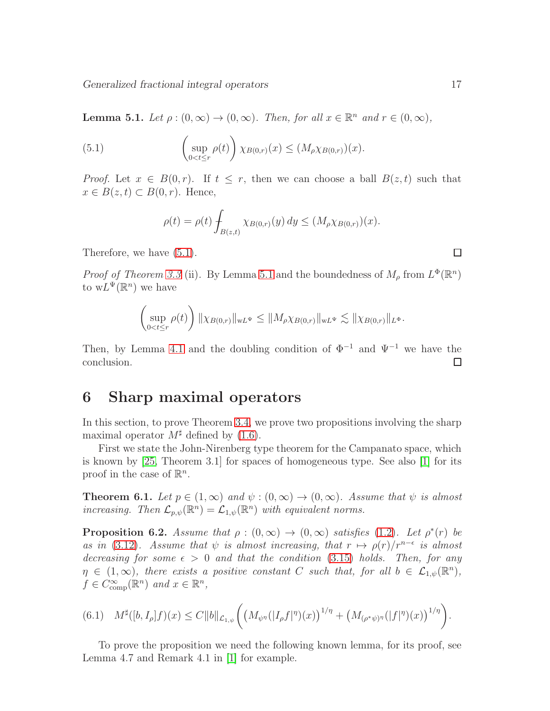Generalized fractional integral operators 17

<span id="page-16-2"></span>**Lemma 5.1.** Let  $\rho : (0, \infty) \to (0, \infty)$ . Then, for all  $x \in \mathbb{R}^n$  and  $r \in (0, \infty)$ ,

(5.1) 
$$
\left(\sup_{0
$$

*Proof.* Let  $x \in B(0,r)$ . If  $t \leq r$ , then we can choose a ball  $B(z,t)$  such that  $x \in B(z, t) \subset B(0, r)$ . Hence,

<span id="page-16-1"></span>
$$
\rho(t) = \rho(t) \int_{B(z,t)} \chi_{B(0,r)}(y) \, dy \le (M_{\rho} \chi_{B(0,r)})(x).
$$

Therefore, we have [\(5.1\)](#page-16-1).

*Proof of Theorem [3.3](#page-9-3)* (ii). By Lemma [5.1](#page-16-2) and the boundedness of  $M_\rho$  from  $L^\Phi(\mathbb{R}^n)$ to  $wL^{\Psi}(\mathbb{R}^n)$  we have

$$
\left(\sup_{0
$$

Then, by Lemma [4.1](#page-13-4) and the doubling condition of  $\Phi^{-1}$  and  $\Psi^{-1}$  we have the conclusion.  $\Box$ 

#### <span id="page-16-0"></span>6 Sharp maximal operators

In this section, to prove Theorem [3.4,](#page-11-6) we prove two propositions involving the sharp maximal operator  $M^{\sharp}$  defined by [\(1.6\)](#page-2-0).

First we state the John-Nirenberg type theorem for the Campanato space, which is known by [\[25,](#page-25-13) Theorem 3.1] for spaces of homogeneous type. See also [\[1\]](#page-24-10) for its proof in the case of  $\mathbb{R}^n$ .

<span id="page-16-4"></span>**Theorem 6.1.** Let  $p \in (1,\infty)$  and  $\psi : (0,\infty) \to (0,\infty)$ . Assume that  $\psi$  is almost increasing. Then  $\mathcal{L}_{p,\psi}(\mathbb{R}^n) = \mathcal{L}_{1,\psi}(\mathbb{R}^n)$  with equivalent norms.

<span id="page-16-3"></span>**Proposition 6.2.** Assume that  $\rho : (0, \infty) \to (0, \infty)$  satisfies [\(1.2\)](#page-1-0). Let  $\rho^*(r)$  be as in [\(3.12\)](#page-11-5). Assume that  $\psi$  is almost increasing, that  $r \mapsto \rho(r)/r^{n-\epsilon}$  is almost decreasing for some  $\epsilon > 0$  and that the condition [\(3.15\)](#page-11-3) holds. Then, for any  $\eta \in (1,\infty)$ , there exists a positive constant C such that, for all  $b \in \mathcal{L}_{1,\psi}(\mathbb{R}^n)$ ,  $f \in C_{\text{comp}}^{\infty}(\mathbb{R}^n)$  and  $x \in \mathbb{R}^n$ ,

$$
(6.1) \quad M^{\sharp}([b, I_{\rho}]f)(x) \leq C \|b\|_{\mathcal{L}_{1,\psi}} \bigg( \big(M_{\psi^{\eta}}(|I_{\rho}f|^{\eta})(x)\big)^{1/\eta} + \big(M_{(\rho^*\psi)^{\eta}}(|f|^{\eta})(x)\big)^{1/\eta} \bigg).
$$

To prove the proposition we need the following known lemma, for its proof, see Lemma 4.7 and Remark 4.1 in [\[1\]](#page-24-10) for example.

 $\Box$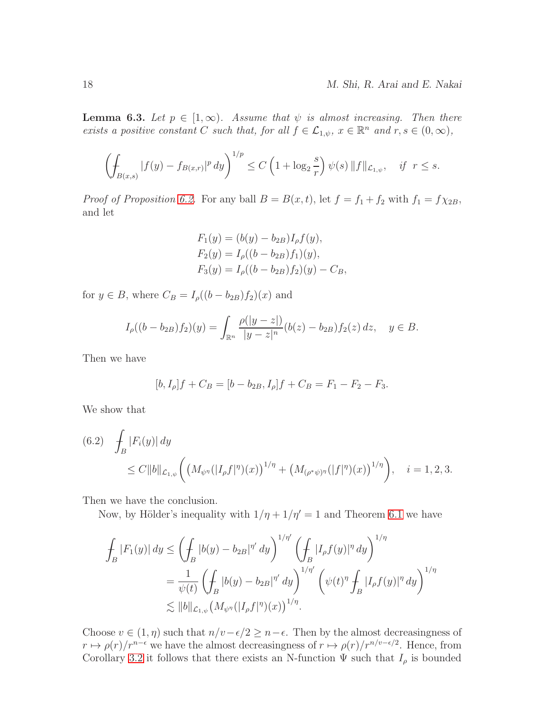<span id="page-17-0"></span>**Lemma 6.3.** Let  $p \in [1,\infty)$ . Assume that  $\psi$  is almost increasing. Then there exists a positive constant C such that, for all  $f \in \mathcal{L}_{1,\psi}$ ,  $x \in \mathbb{R}^n$  and  $r, s \in (0,\infty)$ ,

$$
\left(\int_{B(x,s)} |f(y) - f_{B(x,r)}|^p dy\right)^{1/p} \le C\left(1 + \log_2 \frac{s}{r}\right) \psi(s) \|f\|_{\mathcal{L}_{1,\psi}}, \quad \text{if } r \le s.
$$

*Proof of Proposition [6.2.](#page-16-3)* For any ball  $B = B(x, t)$ , let  $f = f_1 + f_2$  with  $f_1 = f \chi_{2B}$ , and let

$$
F_1(y) = (b(y) - b_{2B})I_{\rho}f(y),
$$
  
\n
$$
F_2(y) = I_{\rho}((b - b_{2B})f_1)(y),
$$
  
\n
$$
F_3(y) = I_{\rho}((b - b_{2B})f_2)(y) - C_B,
$$

for  $y \in B$ , where  $C_B = I_\rho((b - b_{2B})f_2)(x)$  and

$$
I_{\rho}((b - b_{2B})f_2)(y) = \int_{\mathbb{R}^n} \frac{\rho(|y - z|)}{|y - z|^n} (b(z) - b_{2B}) f_2(z) dz, \quad y \in B.
$$

Then we have

$$
[b, I_{\rho}]f + C_B = [b - b_{2B}, I_{\rho}]f + C_B = F_1 - F_2 - F_3.
$$

We show that

<span id="page-17-1"></span>(6.2) 
$$
\int_{B} |F_i(y)| dy \leq C \|b\|_{\mathcal{L}_{1,\psi}} \left( \left(M_{\psi^{\eta}}(|I_{\rho}f|^{\eta})(x)\right)^{1/\eta} + \left(M_{(\rho^*\psi)^{\eta}}(|f|^{\eta})(x)\right)^{1/\eta} \right), \quad i = 1, 2, 3.
$$

Then we have the conclusion.

Now, by Hölder's inequality with  $1/\eta + 1/\eta' = 1$  and Theorem [6.1](#page-16-4) we have

$$
\int_{B} |F_1(y)| dy \le \left(\int_{B} |b(y) - b_{2B}|^{\eta'} dy\right)^{1/\eta'} \left(\int_{B} |I_{\rho}f(y)|^{\eta} dy\right)^{1/\eta}
$$
\n
$$
= \frac{1}{\psi(t)} \left(\int_{B} |b(y) - b_{2B}|^{\eta'} dy\right)^{1/\eta'} \left(\psi(t)^{\eta} \int_{B} |I_{\rho}f(y)|^{\eta} dy\right)^{1/\eta}
$$
\n
$$
\lesssim \|b\|_{\mathcal{L}_{1,\psi}} \left(M_{\psi^{\eta}}(|I_{\rho}f|^{\eta})(x)\right)^{1/\eta}.
$$

Choose  $v \in (1, \eta)$  such that  $n/v - \epsilon/2 \geq n - \epsilon$ . Then by the almost decreasingness of  $r \mapsto \rho(r)/r^{n-\epsilon}$  we have the almost decreasingness of  $r \mapsto \rho(r)/r^{n/v-\epsilon/2}$ . Hence, from Corollary [3.2](#page-9-4) it follows that there exists an N-function  $\Psi$  such that  $I_{\rho}$  is bounded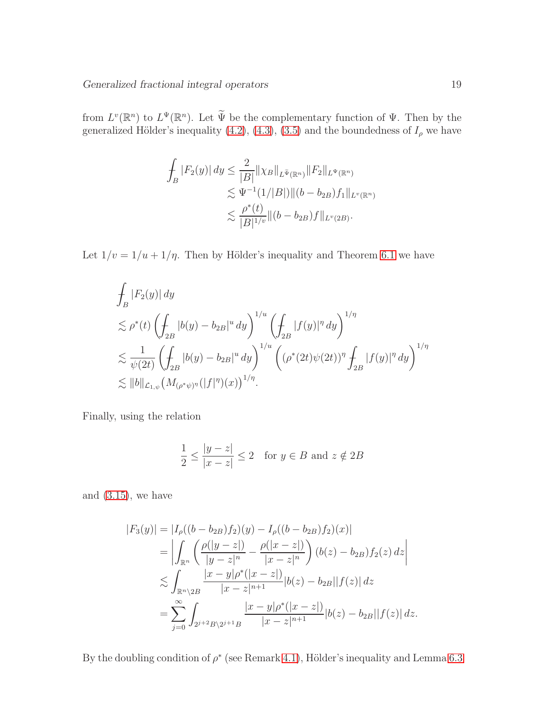from  $L^v(\mathbb{R}^n)$  to  $L^{\Psi}(\mathbb{R}^n)$ . Let  $\widetilde{\Psi}$  be the complementary function of  $\Psi$ . Then by the generalized Hölder's inequality  $(4.2)$ ,  $(4.3)$ ,  $(3.5)$  and the boundedness of  $I_{\rho}$  we have

$$
\int_{B} |F_2(y)| dy \leq \frac{2}{|B|} ||\chi_B||_{L^{\tilde{\Psi}}(\mathbb{R}^n)} ||F_2||_{L^{\Psi}(\mathbb{R}^n)}
$$
  
\n
$$
\lesssim \Psi^{-1}(1/|B|) ||(b - b_{2B})f_1||_{L^v(\mathbb{R}^n)}
$$
  
\n
$$
\lesssim \frac{\rho^*(t)}{|B|^{1/v}} ||(b - b_{2B})f||_{L^v(2B)}.
$$

Let  $1/v = 1/u + 1/\eta$ . Then by Hölder's inequality and Theorem [6.1](#page-16-4) we have

$$
\begin{split} &\int_{B} |F_2(y)| \, dy \\ &\lesssim \rho^*(t) \left( \int_{2B} |b(y) - b_{2B}|^u \, dy \right)^{1/u} \left( \int_{2B} |f(y)|^{\eta} \, dy \right)^{1/\eta} \\ &\lesssim \frac{1}{\psi(2t)} \left( \int_{2B} |b(y) - b_{2B}|^u \, dy \right)^{1/u} \left( (\rho^*(2t)\psi(2t))^{\eta} \int_{2B} |f(y)|^{\eta} \, dy \right)^{1/\eta} \\ &\lesssim \|b\|_{\mathcal{L}_{1,\psi}} \left( M_{(\rho^*\psi)^{\eta}}(|f|^{\eta})(x) \right)^{1/\eta}. \end{split}
$$

Finally, using the relation

$$
\frac{1}{2} \le \frac{|y-z|}{|x-z|} \le 2 \quad \text{for } y \in B \text{ and } z \notin 2B
$$

and  $(3.15)$ , we have

$$
|F_3(y)| = |I_{\rho}((b - b_{2B})f_2)(y) - I_{\rho}((b - b_{2B})f_2)(x)|
$$
  
\n
$$
= \left| \int_{\mathbb{R}^n} \left( \frac{\rho(|y - z|)}{|y - z|^n} - \frac{\rho(|x - z|)}{|x - z|^n} \right) (b(z) - b_{2B}) f_2(z) dz \right|
$$
  
\n
$$
\lesssim \int_{\mathbb{R}^n \setminus 2B} \frac{|x - y|\rho^* (|x - z|)}{|x - z|^{n+1}} |b(z) - b_{2B}||f(z)| dz
$$
  
\n
$$
= \sum_{j=0}^\infty \int_{2^{j+2}B\setminus 2^{j+1}B} \frac{|x - y|\rho^* (|x - z|)}{|x - z|^{n+1}} |b(z) - b_{2B}||f(z)| dz.
$$

By the doubling condition of  $\rho^*$  (see Remark [4.1\)](#page-14-0), Hölder's inequality and Lemma [6.3](#page-17-0)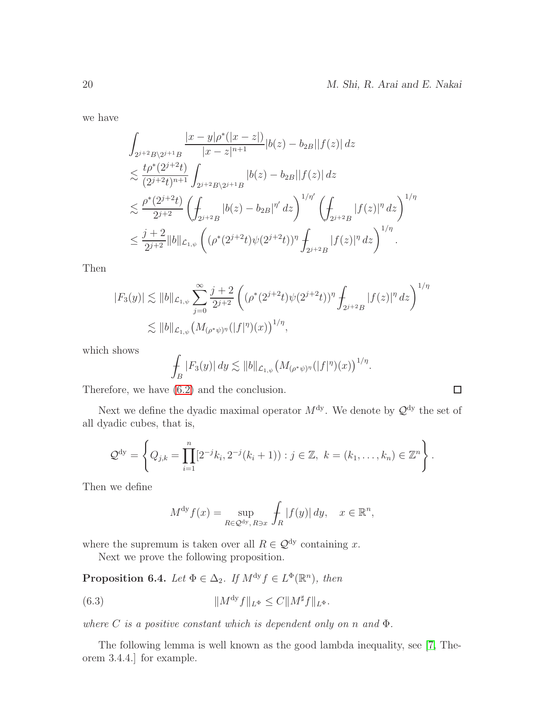$\Box$ 

we have

$$
\int_{2^{j+2}B\backslash 2^{j+1}B} \frac{|x-y|\rho^*(|x-z|)}{|x-z|^{n+1}}|b(z)-b_{2B}||f(z)| dz
$$
\n
$$
\lesssim \frac{t\rho^*(2^{j+2}t)}{(2^{j+2}t)^{n+1}} \int_{2^{j+2}B\backslash 2^{j+1}B} |b(z)-b_{2B}||f(z)| dz
$$
\n
$$
\lesssim \frac{\rho^*(2^{j+2}t)}{2^{j+2}} \left(\int_{2^{j+2}B} |b(z)-b_{2B}|^{n'} dz\right)^{1/n'} \left(\int_{2^{j+2}B} |f(z)|^{\eta} dz\right)^{1/n}
$$
\n
$$
\leq \frac{j+2}{2^{j+2}} \|b\|_{\mathcal{L}_{1,\psi}} \left((\rho^*(2^{j+2}t)\psi(2^{j+2}t))^{\eta} \int_{2^{j+2}B} |f(z)|^{\eta} dz\right)^{1/n}.
$$

Then

$$
|F_3(y)| \lesssim ||b||_{\mathcal{L}_{1,\psi}} \sum_{j=0}^{\infty} \frac{j+2}{2^{j+2}} \left( (\rho^*(2^{j+2}t)\psi(2^{j+2}t))^{\eta} \int_{2^{j+2}B} |f(z)|^{\eta} dz \right)^{1/\eta}
$$
  

$$
\lesssim ||b||_{\mathcal{L}_{1,\psi}} \left( M_{(\rho^*\psi)^{\eta}}(|f|^{\eta})(x) \right)^{1/\eta},
$$

which shows

$$
\int_B |F_3(y)| dy \lesssim ||b||_{\mathcal{L}_{1,\psi}} \big(M_{(\rho^*\psi)^{\eta}}(|f|^{\eta})(x)\big)^{1/\eta}.
$$

Therefore, we have [\(6.2\)](#page-17-1) and the conclusion.

Next we define the dyadic maximal operator  $M^{\text{dy}}$ . We denote by  $\mathcal{Q}^{\text{dy}}$  the set of all dyadic cubes, that is,

$$
\mathcal{Q}^{dy} = \left\{ Q_{j,k} = \prod_{i=1}^n [2^{-j}k_i, 2^{-j}(k_i+1)) : j \in \mathbb{Z}, k = (k_1, \ldots, k_n) \in \mathbb{Z}^n \right\}.
$$

Then we define

<span id="page-19-1"></span>
$$
M^{\mathrm{dy}} f(x) = \sup_{R \in \mathcal{Q}^{\mathrm{dy}}, R \ni x} \int_{R} |f(y)| dy, \quad x \in \mathbb{R}^{n},
$$

where the supremum is taken over all  $R \in \mathcal{Q}^{\text{dy}}$  containing x.

Next we prove the following proposition.

<span id="page-19-0"></span>**Proposition 6.4.** Let  $\Phi \in \Delta_2$ . If  $M^{dy} f \in L^{\Phi}(\mathbb{R}^n)$ , then

(6.3) 
$$
||M^{dy} f||_{L^{\Phi}} \leq C ||M^{\sharp} f||_{L^{\Phi}}.
$$

where C is a positive constant which is dependent only on n and  $\Phi$ .

The following lemma is well known as the good lambda inequality, see [\[7,](#page-24-11) Theorem 3.4.4.] for example.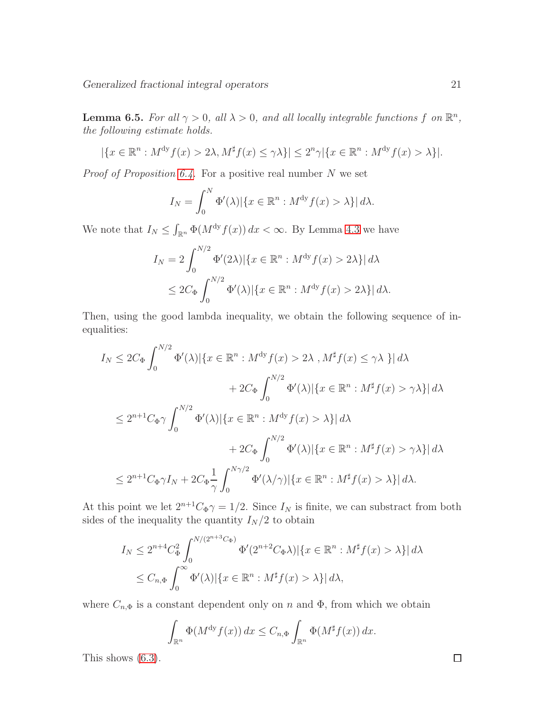**Lemma 6.5.** For all  $\gamma > 0$ , all  $\lambda > 0$ , and all locally integrable functions f on  $\mathbb{R}^n$ , the following estimate holds.

$$
|\{x \in \mathbb{R}^n : M^{\mathrm{dy}} f(x) > 2\lambda, M^{\sharp} f(x) \le \gamma \lambda\}| \le 2^n \gamma |\{x \in \mathbb{R}^n : M^{\mathrm{dy}} f(x) > \lambda\}|.
$$

*Proof of Proposition [6.4.](#page-19-0)* For a positive real number  $N$  we set

$$
I_N = \int_0^N \Phi'(\lambda) |\{x \in \mathbb{R}^n : M^{\mathrm{dy}} f(x) > \lambda\}| d\lambda.
$$

We note that  $I_N \n\t\leq \int_{\mathbb{R}^n} \Phi(M^{\text{dy}} f(x)) dx < \infty$ . By Lemma [4.3](#page-14-1) we have

$$
I_N = 2 \int_0^{N/2} \Phi'(2\lambda) |\{x \in \mathbb{R}^n : M^{\mathrm{dy}} f(x) > 2\lambda\}| d\lambda
$$
  
 
$$
\leq 2C_{\Phi} \int_0^{N/2} \Phi'(\lambda) |\{x \in \mathbb{R}^n : M^{\mathrm{dy}} f(x) > 2\lambda\}| d\lambda.
$$

Then, using the good lambda inequality, we obtain the following sequence of inequalities:

$$
I_N \leq 2C_{\Phi} \int_0^{N/2} \Phi'(\lambda) |\{x \in \mathbb{R}^n : M^{\mathrm{dy}} f(x) > 2\lambda , M^{\sharp} f(x) \leq \gamma \lambda \}| d\lambda
$$
  
+ 2C\_{\Phi} \int\_0^{N/2} \Phi'(\lambda) |\{x \in \mathbb{R}^n : M^{\sharp} f(x) > \gamma \lambda\}| d\lambda  

$$
\leq 2^{n+1} C_{\Phi} \gamma \int_0^{N/2} \Phi'(\lambda) |\{x \in \mathbb{R}^n : M^{\mathrm{dy}} f(x) > \lambda\}| d\lambda
$$
  
+ 2C\_{\Phi} \int\_0^{N/2} \Phi'(\lambda) |\{x \in \mathbb{R}^n : M^{\sharp} f(x) > \gamma \lambda\}| d\lambda  

$$
\leq 2^{n+1} C_{\Phi} \gamma I_N + 2C_{\Phi} \frac{1}{\gamma} \int_0^{N \gamma/2} \Phi'(\lambda/\gamma) |\{x \in \mathbb{R}^n : M^{\sharp} f(x) > \lambda\}| d\lambda.
$$

At this point we let  $2^{n+1}C_{\Phi}\gamma = 1/2$ . Since  $I_N$  is finite, we can substract from both sides of the inequality the quantity  $I_N/2$  to obtain

$$
I_N \le 2^{n+4} C_{\Phi}^2 \int_0^{N/(2^{n+3}C_{\Phi})} \Phi'(2^{n+2}C_{\Phi}\lambda) |\{x \in \mathbb{R}^n : M^{\sharp}f(x) > \lambda\}| d\lambda
$$
  

$$
\le C_{n,\Phi} \int_0^{\infty} \Phi'(\lambda) |\{x \in \mathbb{R}^n : M^{\sharp}f(x) > \lambda\}| d\lambda,
$$

where  $C_{n,\Phi}$  is a constant dependent only on n and  $\Phi$ , from which we obtain

$$
\int_{\mathbb{R}^n} \Phi(M^{\mathrm{dy}} f(x)) dx \leq C_{n,\Phi} \int_{\mathbb{R}^n} \Phi(M^{\sharp} f(x)) dx.
$$

This shows [\(6.3\)](#page-19-1).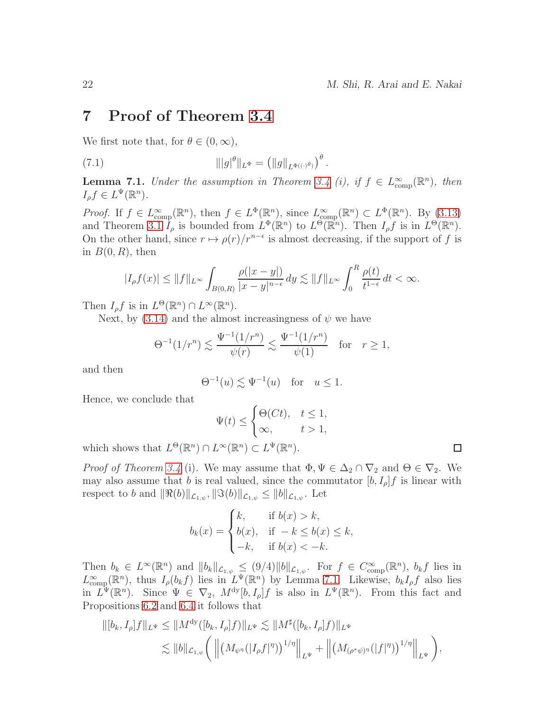#### <span id="page-21-0"></span>7 Proof of Theorem [3.4](#page-11-6)

We first note that, for  $\theta \in (0,\infty)$ ,

<span id="page-21-2"></span>(7.1) 
$$
\| |g|^{\theta} \|_{L^{\Phi}} = ( \| g \|_{L^{\Phi((\cdot)^{\theta})}} )^{\theta}.
$$

<span id="page-21-1"></span>**Lemma 7.1.** Under the assumption in Theorem [3.4](#page-11-6) (i), if  $f \in L^{\infty}_{comp}(\mathbb{R}^n)$ , then  $I_{\rho}f \in L^{\Psi}(\mathbb{R}^n).$ 

*Proof.* If  $f \in L^{\infty}_{comp}(\mathbb{R}^n)$ , then  $f \in L^{\Phi}(\mathbb{R}^n)$ , since  $L^{\infty}_{comp}(\mathbb{R}^n) \subset L^{\Phi}(\mathbb{R}^n)$ . By [\(3.13\)](#page-11-1) and Theorem [3.1](#page-7-1)  $I_\rho$  is bounded from  $L^\Phi(\mathbb{R}^n)$  to  $L^\Theta(\mathbb{R}^n)$ . Then  $I_\rho f$  is in  $L^\Theta(\mathbb{R}^n)$ . On the other hand, since  $r \mapsto \rho(r)/r^{n-\epsilon}$  is almost decreasing, if the support of f is in  $B(0, R)$ , then

$$
|I_{\rho}f(x)| \leq ||f||_{L^{\infty}} \int_{B(0,R)} \frac{\rho(|x-y|)}{|x-y|^{n-\epsilon}} dy \lesssim ||f||_{L^{\infty}} \int_0^R \frac{\rho(t)}{t^{1-\epsilon}} dt < \infty.
$$

Then  $I_{\rho}f$  is in  $L^{\Theta}(\mathbb{R}^n) \cap L^{\infty}(\mathbb{R}^n)$ .

Next, by [\(3.14\)](#page-11-2) and the almost increasingness of  $\psi$  we have

$$
\Theta^{-1}(1/r^n) \lesssim \frac{\Psi^{-1}(1/r^n)}{\psi(r)} \lesssim \frac{\Psi^{-1}(1/r^n)}{\psi(1)} \text{ for } r \ge 1,
$$

and then

$$
\Theta^{-1}(u) \lesssim \Psi^{-1}(u) \quad \text{for} \quad u \le 1.
$$

Hence, we conclude that

$$
\Psi(t) \le \begin{cases} \Theta(Ct), & t \le 1, \\ \infty, & t > 1, \end{cases}
$$

which shows that  $L^{\Theta}(\mathbb{R}^n) \cap L^{\infty}(\mathbb{R}^n) \subset L^{\Psi}(\mathbb{R}^n)$ .

*Proof of Theorem [3.4](#page-11-6)* (i). We may assume that  $\Phi, \Psi \in \Delta_2 \cap \nabla_2$  and  $\Theta \in \nabla_2$ . We may also assume that b is real valued, since the commutator  $[b, I_{\rho}]f$  is linear with respect to b and  $\|\Re(b)\|_{\mathcal{L}_{1,\psi}}, \|\Im(b)\|_{\mathcal{L}_{1,\psi}} \leq \|b\|_{\mathcal{L}_{1,\psi}}$ . Let

$$
b_k(x) = \begin{cases} k, & \text{if } b(x) > k, \\ b(x), & \text{if } -k \le b(x) \le k, \\ -k, & \text{if } b(x) < -k. \end{cases}
$$

Then  $b_k \in L^{\infty}(\mathbb{R}^n)$  and  $||b_k||_{\mathcal{L}_{1,\psi}} \leq (9/4)||b||_{\mathcal{L}_{1,\psi}}$ . For  $f \in C_{\text{comp}}^{\infty}(\mathbb{R}^n)$ ,  $b_k f$  lies in  $L^{\infty}_{comp}(\mathbb{R}^n)$ , thus  $I_{\rho}(b_k f)$  lies in  $L^{\Psi}(\mathbb{R}^n)$  by Lemma [7.1.](#page-21-1) Likewise,  $b_k I_{\rho} f$  also lies in  $L^{\Psi}(\mathbb{R}^n)$ . Since  $\Psi \in \nabla_2$ ,  $M^{dy}[b, I_{\rho}]f$  is also in  $L^{\Psi}(\mathbb{R}^n)$ . From this fact and Propositions [6.2](#page-16-3) and [6.4](#page-19-0) it follows that

$$
\| [b_k, I_{\rho}] f \|_{L^{\Psi}} \leq \| M^{\mathrm{dy}}([b_k, I_{\rho}] f) \|_{L^{\Psi}} \lesssim \| M^{\sharp}([b_k, I_{\rho}] f) \|_{L^{\Psi}}
$$
  

$$
\lesssim \| b \|_{\mathcal{L}_{1,\psi}} \bigg( \| \big( M_{\psi^{\eta}}([I_{\rho} f]^{\eta}) \big)^{1/\eta} \big\|_{L^{\Psi}} + \| \big( M_{(\rho^* \psi)^{\eta}}([f]^{\eta}) \big)^{1/\eta} \big\|_{L^{\Psi}} \bigg),
$$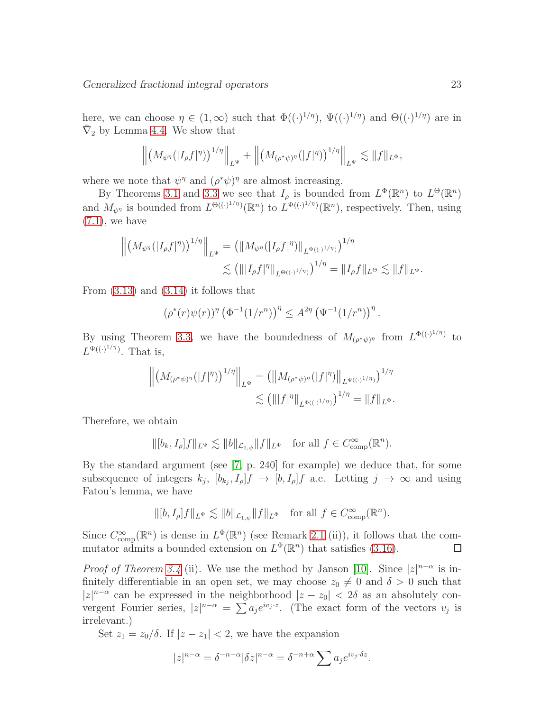here, we can choose  $\eta \in (1,\infty)$  such that  $\Phi((\cdot)^{1/\eta})$ ,  $\Psi((\cdot)^{1/\eta})$  and  $\Theta((\cdot)^{1/\eta})$  are in  $\bar{\nabla}_2$  by Lemma [4.4.](#page-14-2) We show that

$$
\left\| \left(M_{\psi^{\eta}}(|I_{\rho}f|^{\eta})\right)^{1/\eta} \right\|_{L^{\Psi}} + \left\| \left(M_{(\rho^*\psi)^{\eta}}(|f|^{\eta})\right)^{1/\eta} \right\|_{L^{\Psi}} \lesssim \|f\|_{L^{\Phi}},
$$

where we note that  $\psi^{\eta}$  and  $(\rho^*\psi)^{\eta}$  are almost increasing.

By Theorems [3.1](#page-7-1) and [3.3](#page-9-3) we see that  $I_\rho$  is bounded from  $L^\Phi(\mathbb{R}^n)$  to  $L^\Theta(\mathbb{R}^n)$ and  $M_{\psi^{\eta}}$  is bounded from  $L^{\Theta((\cdot)^{1/\eta})}(\mathbb{R}^n)$  to  $L^{\Psi((\cdot)^{1/\eta})}(\mathbb{R}^n)$ , respectively. Then, using  $(7.1)$ , we have

$$
\left\| \left( M_{\psi^{\eta}}(|I_{\rho}f|^{\eta}) \right)^{1/\eta} \right\|_{L^{\Psi}} = \left( \| M_{\psi^{\eta}}(|I_{\rho}f|^{\eta}) \|_{L^{\Psi((\cdot)^{1/\eta})}} \right)^{1/\eta}
$$
  

$$
\lesssim \left( \| |I_{\rho}f|^{\eta} \|_{L^{\Theta((\cdot)^{1/\eta})}} \right)^{1/\eta} = \| I_{\rho}f \|_{L^{\Theta}} \lesssim \| f \|_{L^{\Phi}}.
$$

From  $(3.13)$  and  $(3.14)$  it follows that

$$
(\rho^*(r)\psi(r))^{\eta} (\Phi^{-1}(1/r^n))^{\eta} \leq A^{2\eta} (\Psi^{-1}(1/r^n))^{\eta}
$$

.

By using Theorem [3.3,](#page-9-3) we have the boundedness of  $M_{(\rho^*\psi)^\eta}$  from  $L^{\Phi((\cdot)^{1/\eta})}$  to  $L^{\Psi((\cdot)^{1/\eta})}$ . That is,

$$
\left\| \left( M_{(\rho^*\psi)^\eta}(|f|^\eta) \right)^{1/\eta} \right\|_{L^\Psi} = \left( \left\| M_{(\rho^*\psi)^\eta}(|f|^\eta) \right\|_{L^{\Psi((\cdot)^{1/\eta})}} \right)^{1/\eta}
$$
  

$$
\lesssim \left( \left\| |f|^\eta \right\|_{L^{\Phi((\cdot)^{1/\eta})}} \right)^{1/\eta} = \left\| f \right\|_{L^\Phi}.
$$

Therefore, we obtain

$$
\|[b_k, I_{\rho}]f\|_{L^{\Psi}} \lesssim \|b\|_{\mathcal{L}_{1,\psi}} \|f\|_{L^{\Phi}} \quad \text{for all } f \in C_{\text{comp}}^{\infty}(\mathbb{R}^n).
$$

By the standard argument (see [\[7,](#page-24-11) p. 240] for example) we deduce that, for some subsequence of integers  $k_j$ ,  $[b_{k_j}, I_\rho]f \to [b, I_\rho]f$  a.e. Letting  $j \to \infty$  and using Fatou's lemma, we have

$$
\|[b, I_{\rho}]f\|_{L^{\Psi}} \lesssim \|b\|_{\mathcal{L}_{1,\psi}}\|f\|_{L^{\Phi}} \quad \text{for all } f \in C_{\text{comp}}^{\infty}(\mathbb{R}^n).
$$

Since  $C_{\text{comp}}^{\infty}(\mathbb{R}^n)$  is dense in  $L^{\Phi}(\mathbb{R}^n)$  (see Remark 2.1 (ii)), it follows that the commutator admits a bounded extension on  $L^{\Phi}(\mathbb{R}^n)$  that satisfies [\(3.16\)](#page-12-0).  $\Box$ 

*Proof of Theorem [3.4](#page-11-6)* (ii). We use the method by Janson [\[10\]](#page-24-12). Since  $|z|^{n-\alpha}$  is infinitely differentiable in an open set, we may choose  $z_0 \neq 0$  and  $\delta > 0$  such that  $|z|^{n-\alpha}$  can be expressed in the neighborhood  $|z - z_0| < 2\delta$  as an absolutely convergent Fourier series,  $|z|^{n-\alpha} = \sum a_j e^{iv_j z}$ . (The exact form of the vectors  $v_j$  is irrelevant.)

Set  $z_1 = z_0/\delta$ . If  $|z - z_1| < 2$ , we have the expansion

$$
|z|^{n-\alpha} = \delta^{-n+\alpha} |\delta z|^{n-\alpha} = \delta^{-n+\alpha} \sum a_j e^{iv_j \cdot \delta z}.
$$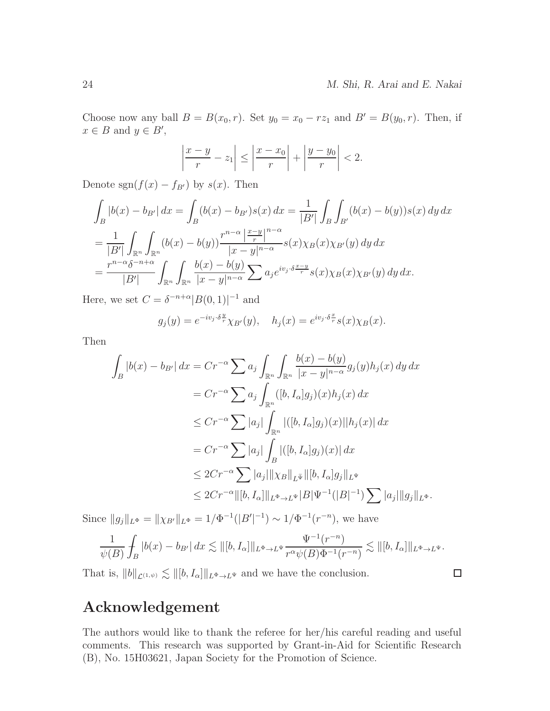Choose now any ball  $B = B(x_0, r)$ . Set  $y_0 = x_0 - rz_1$  and  $B' = B(y_0, r)$ . Then, if  $x \in B$  and  $y \in B'$ ,

$$
\left|\frac{x-y}{r} - z_1\right| \le \left|\frac{x-x_0}{r}\right| + \left|\frac{y-y_0}{r}\right| < 2.
$$

Denote sgn $(f(x) - f_{B'})$  by  $s(x)$ . Then

$$
\int_{B} |b(x) - b_{B'}| dx = \int_{B} (b(x) - b_{B'})s(x) dx = \frac{1}{|B'|} \int_{B} \int_{B'} (b(x) - b(y))s(x) dy dx
$$
  
\n
$$
= \frac{1}{|B'|} \int_{\mathbb{R}^n} \int_{\mathbb{R}^n} (b(x) - b(y)) \frac{r^{n-\alpha} \left| \frac{x-y}{r} \right|^{n-\alpha}}{|x - y|^{n-\alpha}} s(x) \chi_{B}(x) \chi_{B'}(y) dy dx
$$
  
\n
$$
= \frac{r^{n-\alpha} \delta^{-n+\alpha}}{|B'|} \int_{\mathbb{R}^n} \int_{\mathbb{R}^n} \frac{b(x) - b(y)}{|x - y|^{n-\alpha}} \sum a_j e^{iv_j \cdot \delta \frac{x-y}{r}} s(x) \chi_{B}(x) \chi_{B'}(y) dy dx.
$$

Here, we set  $C = \delta^{-n+\alpha} |B(0,1)|^{-1}$  and

$$
g_j(y) = e^{-iv_j \cdot \delta \frac{y}{r}} \chi_{B'}(y), \quad h_j(x) = e^{iv_j \cdot \delta \frac{x}{r}} s(x) \chi_B(x).
$$

Then

$$
\int_{B} |b(x) - b_{B'}| dx = Cr^{-\alpha} \sum a_j \int_{\mathbb{R}^n} \int_{\mathbb{R}^n} \frac{b(x) - b(y)}{|x - y|^{n - \alpha}} g_j(y) h_j(x) dy dx
$$
  
\n
$$
= Cr^{-\alpha} \sum a_j \int_{\mathbb{R}^n} ([b, I_\alpha] g_j)(x) h_j(x) dx
$$
  
\n
$$
\leq Cr^{-\alpha} \sum |a_j| \int_{\mathbb{R}^n} |([b, I_\alpha] g_j)(x)| |h_j(x)| dx
$$
  
\n
$$
= Cr^{-\alpha} \sum |a_j| \int_{B} |([b, I_\alpha] g_j)(x)| dx
$$
  
\n
$$
\leq 2Cr^{-\alpha} \sum |a_j| ||\chi_B||_{L^{\tilde{\Psi}}} ||[b, I_\alpha] g_j ||_{L^{\Psi}}
$$
  
\n
$$
\leq 2Cr^{-\alpha} ||[b, I_\alpha] ||_{L^{\Phi} \to L^{\Psi}} |B| \Psi^{-1} (|B|^{-1}) \sum |a_j| ||g_j||_{L^{\Phi}}.
$$

Since  $||g_j||_{L^{\Phi}} = ||\chi_{B'}||_{L^{\Phi}} = 1/\Phi^{-1}(|B'|^{-1}) \sim 1/\Phi^{-1}(r^{-n}),$  we have

$$
\frac{1}{\psi(B)}\int_B|b(x)-b_{B'}|\,dx\lesssim \|[b,I_\alpha]\|_{L^\Phi\to L^\Psi}\frac{\Psi^{-1}(r^{-n})}{r^\alpha\psi(B)\Phi^{-1}(r^{-n})}\lesssim \|[b,I_\alpha]\|_{L^\Phi\to L^\Psi}.
$$

That is,  $||b||_{\mathcal{L}^{(1,\psi)}} \lesssim ||[b, I_{\alpha}]||_{L^{\Phi}\to L^{\Psi}}$  and we have the conclusion.

 $\Box$ 

#### Acknowledgement

The authors would like to thank the referee for her/his careful reading and useful comments. This research was supported by Grant-in-Aid for Scientific Research (B), No. 15H03621, Japan Society for the Promotion of Science.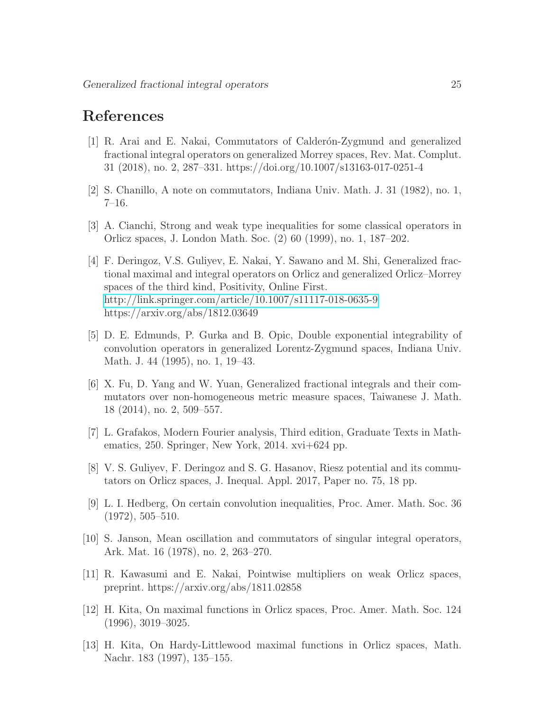## <span id="page-24-10"></span>References

- [1] R. Arai and E. Nakai, Commutators of Calder´on-Zygmund and generalized fractional integral operators on generalized Morrey spaces, Rev. Mat. Complut. 31 (2018), no. 2, 287–331. https://doi.org/10.1007/s13163-017-0251-4
- <span id="page-24-2"></span><span id="page-24-0"></span>[2] S. Chanillo, A note on commutators, Indiana Univ. Math. J. 31 (1982), no. 1, 7–16.
- <span id="page-24-5"></span>[3] A. Cianchi, Strong and weak type inequalities for some classical operators in Orlicz spaces, J. London Math. Soc. (2) 60 (1999), no. 1, 187–202.
- [4] F. Deringoz, V.S. Guliyev, E. Nakai, Y. Sawano and M. Shi, Generalized fractional maximal and integral operators on Orlicz and generalized Orlicz–Morrey spaces of the third kind, Positivity, Online First. <http://link.springer.com/article/10.1007/s11117-018-0635-9> https://arxiv.org/abs/1812.03649
- <span id="page-24-1"></span>[5] D. E. Edmunds, P. Gurka and B. Opic, Double exponential integrability of convolution operators in generalized Lorentz-Zygmund spaces, Indiana Univ. Math. J. 44 (1995), no. 1, 19–43.
- <span id="page-24-3"></span>[6] X. Fu, D. Yang and W. Yuan, Generalized fractional integrals and their commutators over non-homogeneous metric measure spaces, Taiwanese J. Math. 18 (2014), no. 2, 509–557.
- <span id="page-24-11"></span><span id="page-24-4"></span>[7] L. Grafakos, Modern Fourier analysis, Third edition, Graduate Texts in Mathematics, 250. Springer, New York, 2014. xvi+624 pp.
- <span id="page-24-9"></span>[8] V. S. Guliyev, F. Deringoz and S. G. Hasanov, Riesz potential and its commutators on Orlicz spaces, J. Inequal. Appl. 2017, Paper no. 75, 18 pp.
- [9] L. I. Hedberg, On certain convolution inequalities, Proc. Amer. Math. Soc. 36 (1972), 505–510.
- <span id="page-24-12"></span>[10] S. Janson, Mean oscillation and commutators of singular integral operators, Ark. Mat. 16 (1978), no. 2, 263–270.
- <span id="page-24-6"></span>[11] R. Kawasumi and E. Nakai, Pointwise multipliers on weak Orlicz spaces, preprint. https://arxiv.org/abs/1811.02858
- <span id="page-24-7"></span>[12] H. Kita, On maximal functions in Orlicz spaces, Proc. Amer. Math. Soc. 124 (1996), 3019–3025.
- <span id="page-24-8"></span>[13] H. Kita, On Hardy-Littlewood maximal functions in Orlicz spaces, Math. Nachr. 183 (1997), 135–155.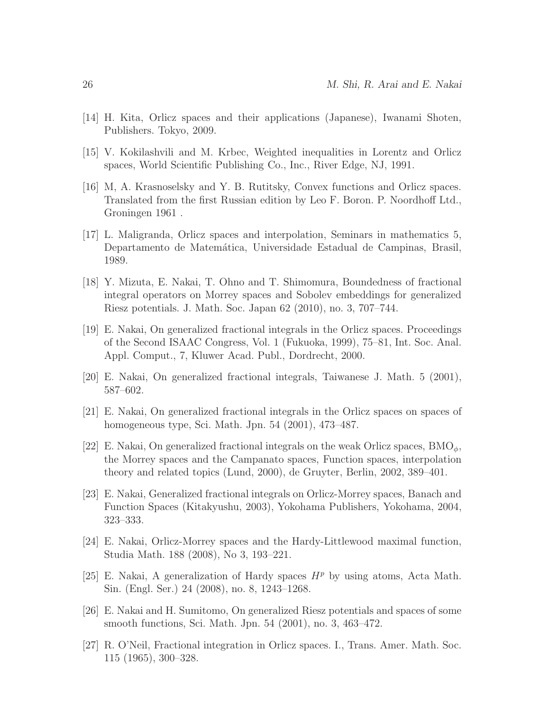- <span id="page-25-9"></span><span id="page-25-0"></span>[14] H. Kita, Orlicz spaces and their applications (Japanese), Iwanami Shoten, Publishers. Tokyo, 2009.
- <span id="page-25-10"></span>[15] V. Kokilashvili and M. Krbec, Weighted inequalities in Lorentz and Orlicz spaces, World Scientific Publishing Co., Inc., River Edge, NJ, 1991.
- [16] M, A. Krasnoselsky and Y. B. Rutitsky, Convex functions and Orlicz spaces. Translated from the first Russian edition by Leo F. Boron. P. Noordhoff Ltd., Groningen 1961 .
- <span id="page-25-11"></span>[17] L. Maligranda, Orlicz spaces and interpolation, Seminars in mathematics 5, Departamento de Matemática, Universidade Estadual de Campinas, Brasil, 1989.
- <span id="page-25-12"></span>[18] Y. Mizuta, E. Nakai, T. Ohno and T. Shimomura, Boundedness of fractional integral operators on Morrey spaces and Sobolev embeddings for generalized Riesz potentials. J. Math. Soc. Japan 62 (2010), no. 3, 707–744.
- <span id="page-25-3"></span>[19] E. Nakai, On generalized fractional integrals in the Orlicz spaces. Proceedings of the Second ISAAC Congress, Vol. 1 (Fukuoka, 1999), 75–81, Int. Soc. Anal. Appl. Comput., 7, Kluwer Acad. Publ., Dordrecht, 2000.
- <span id="page-25-4"></span><span id="page-25-2"></span>[20] E. Nakai, On generalized fractional integrals, Taiwanese J. Math. 5 (2001), 587–602.
- [21] E. Nakai, On generalized fractional integrals in the Orlicz spaces on spaces of homogeneous type, Sci. Math. Jpn. 54 (2001), 473–487.
- <span id="page-25-5"></span>[22] E. Nakai, On generalized fractional integrals on the weak Orlicz spaces,  $BMO_{\phi}$ , the Morrey spaces and the Campanato spaces, Function spaces, interpolation theory and related topics (Lund, 2000), de Gruyter, Berlin, 2002, 389–401.
- <span id="page-25-6"></span>[23] E. Nakai, Generalized fractional integrals on Orlicz-Morrey spaces, Banach and Function Spaces (Kitakyushu, 2003), Yokohama Publishers, Yokohama, 2004, 323–333.
- <span id="page-25-7"></span>[24] E. Nakai, Orlicz-Morrey spaces and the Hardy-Littlewood maximal function, Studia Math. 188 (2008), No 3, 193–221.
- <span id="page-25-13"></span>[25] E. Nakai, A generalization of Hardy spaces  $H^p$  by using atoms, Acta Math. Sin. (Engl. Ser.) 24 (2008), no. 8, 1243–1268.
- <span id="page-25-8"></span>[26] E. Nakai and H. Sumitomo, On generalized Riesz potentials and spaces of some smooth functions, Sci. Math. Jpn. 54 (2001), no. 3, 463–472.
- <span id="page-25-1"></span>[27] R. O'Neil, Fractional integration in Orlicz spaces. I., Trans. Amer. Math. Soc. 115 (1965), 300–328.